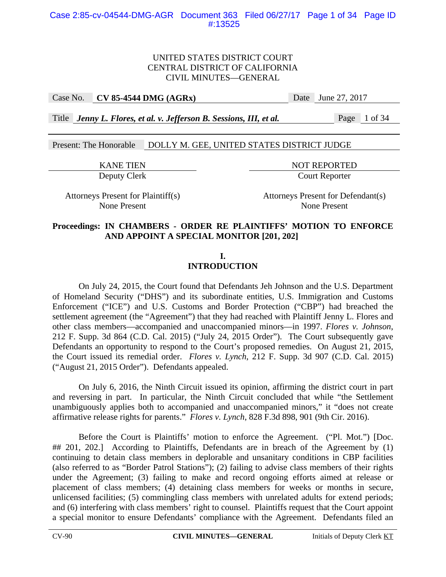### Case No. **CV 85-4544 DMG (AGRx)** Date June 27, 2017

Title *Jenny L. Flores, et al. v. Jefferson B. Sessions, III, et al.* Page 1 of 34

Present: The Honorable DOLLY M. GEE, UNITED STATES DISTRICT JUDGE

KANE TIEN NOT REPORTED

Deputy Clerk Court Reporter

Attorneys Present for Plaintiff(s) Attorneys Present for Defendant(s) None Present None Present

## **Proceedings: IN CHAMBERS - ORDER RE PLAINTIFFS' MOTION TO ENFORCE AND APPOINT A SPECIAL MONITOR [201, 202]**

# **I.**

# **INTRODUCTION**

 On July 24, 2015, the Court found that Defendants Jeh Johnson and the U.S. Department of Homeland Security ("DHS") and its subordinate entities, U.S. Immigration and Customs Enforcement ("ICE") and U.S. Customs and Border Protection ("CBP") had breached the settlement agreement (the "Agreement") that they had reached with Plaintiff Jenny L. Flores and other class members—accompanied and unaccompanied minors—in 1997. *Flores v. Johnson*, 212 F. Supp. 3d 864 (C.D. Cal. 2015) ("July 24, 2015 Order"). The Court subsequently gave Defendants an opportunity to respond to the Court's proposed remedies. On August 21, 2015, the Court issued its remedial order. *Flores v. Lynch*, 212 F. Supp. 3d 907 (C.D. Cal. 2015) ("August 21, 2015 Order"). Defendants appealed.

 On July 6, 2016, the Ninth Circuit issued its opinion, affirming the district court in part and reversing in part. In particular, the Ninth Circuit concluded that while "the Settlement unambiguously applies both to accompanied and unaccompanied minors," it "does not create affirmative release rights for parents." *Flores v. Lynch*, 828 F.3d 898, 901 (9th Cir. 2016).

 Before the Court is Plaintiffs' motion to enforce the Agreement. ("Pl. Mot.") [Doc. ## 201, 202.] According to Plaintiffs, Defendants are in breach of the Agreement by (1) continuing to detain class members in deplorable and unsanitary conditions in CBP facilities (also referred to as "Border Patrol Stations"); (2) failing to advise class members of their rights under the Agreement; (3) failing to make and record ongoing efforts aimed at release or placement of class members; (4) detaining class members for weeks or months in secure, unlicensed facilities; (5) commingling class members with unrelated adults for extend periods; and (6) interfering with class members' right to counsel. Plaintiffs request that the Court appoint a special monitor to ensure Defendants' compliance with the Agreement. Defendants filed an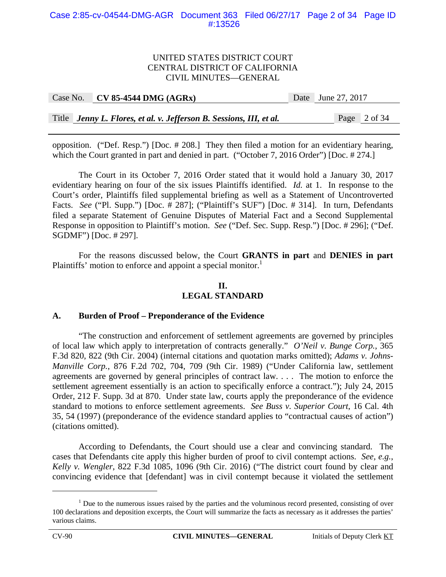#### Case 2:85-cv-04544-DMG-AGR Document 363 Filed 06/27/17 Page 2 of 34 Page ID #:13526

#### UNITED STATES DISTRICT COURT CENTRAL DISTRICT OF CALIFORNIA CIVIL MINUTES—GENERAL

| Case No. | $\sim$ CV 85-4544 DMG (AGRx)                                        | Date June 27, 2017 |  |
|----------|---------------------------------------------------------------------|--------------------|--|
|          |                                                                     |                    |  |
|          | Title Jenny L. Flores, et al. v. Jefferson B. Sessions, III, et al. | Page $2$ of 34     |  |

opposition. ("Def. Resp.") [Doc. # 208.] They then filed a motion for an evidentiary hearing, which the Court granted in part and denied in part. ("October 7, 2016 Order") [Doc. # 274.]

The Court in its October 7, 2016 Order stated that it would hold a January 30, 2017 evidentiary hearing on four of the six issues Plaintiffs identified. *Id.* at 1. In response to the Court's order, Plaintiffs filed supplemental briefing as well as a Statement of Uncontroverted Facts. *See* ("Pl. Supp.") [Doc. # 287]; ("Plaintiff's SUF") [Doc. # 314]. In turn, Defendants filed a separate Statement of Genuine Disputes of Material Fact and a Second Supplemental Response in opposition to Plaintiff's motion. *See* ("Def. Sec. Supp. Resp.") [Doc. # 296]; ("Def. SGDMF") [Doc. # 297].

For the reasons discussed below, the Court **GRANTS in part** and **DENIES in part** Plaintiffs' motion to enforce and appoint a special monitor.<sup>1</sup>

### **II. LEGAL STANDARD**

## **A. Burden of Proof – Preponderance of the Evidence**

"The construction and enforcement of settlement agreements are governed by principles of local law which apply to interpretation of contracts generally." *O'Neil v. Bunge Corp.*, 365 F.3d 820, 822 (9th Cir. 2004) (internal citations and quotation marks omitted); *Adams v. Johns-Manville Corp.*, 876 F.2d 702, 704, 709 (9th Cir. 1989) ("Under California law, settlement agreements are governed by general principles of contract law. . . . The motion to enforce the settlement agreement essentially is an action to specifically enforce a contract."); July 24, 2015 Order, 212 F. Supp. 3d at 870. Under state law, courts apply the preponderance of the evidence standard to motions to enforce settlement agreements. *See Buss v. Superior Court*, 16 Cal. 4th 35, 54 (1997) (preponderance of the evidence standard applies to "contractual causes of action") (citations omitted).

According to Defendants, the Court should use a clear and convincing standard. The cases that Defendants cite apply this higher burden of proof to civil contempt actions. *See, e.g.*, *Kelly v. Wengler*, 822 F.3d 1085, 1096 (9th Cir. 2016) ("The district court found by clear and convincing evidence that [defendant] was in civil contempt because it violated the settlement

 $<sup>1</sup>$  Due to the numerous issues raised by the parties and the voluminous record presented, consisting of over</sup> 100 declarations and deposition excerpts, the Court will summarize the facts as necessary as it addresses the parties' various claims.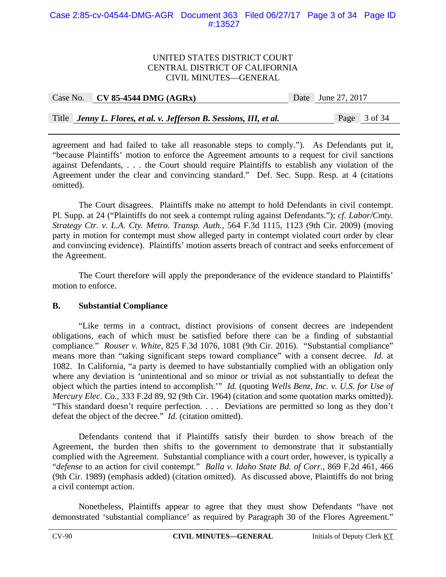#### Case 2:85-cv-04544-DMG-AGR Document 363 Filed 06/27/17 Page 3 of 34 Page ID #:13527

#### UNITED STATES DISTRICT COURT CENTRAL DISTRICT OF CALIFORNIA CIVIL MINUTES—GENERAL

| Case No. | $CV 85-4544 DMG (AGRx)$                                             | Date June 27, 2017 |  |
|----------|---------------------------------------------------------------------|--------------------|--|
|          |                                                                     |                    |  |
|          | Title Jenny L. Flores, et al. v. Jefferson B. Sessions, III, et al. | Page 3 of 34       |  |

agreement and had failed to take all reasonable steps to comply."). As Defendants put it, "because Plaintiffs' motion to enforce the Agreement amounts to a request for civil sanctions against Defendants, . . . the Court should require Plaintiffs to establish any violation of the Agreement under the clear and convincing standard." Def. Sec. Supp. Resp. at 4 (citations omitted).

The Court disagrees. Plaintiffs make no attempt to hold Defendants in civil contempt. Pl. Supp. at 24 ("Plaintiffs do not seek a contempt ruling against Defendants."); *cf. Labor/Cmty. Strategy Ctr. v. L.A. Cty. Metro. Transp. Auth.*, 564 F.3d 1115, 1123 (9th Cir. 2009) (moving party in motion for contempt must show alleged party in contempt violated court order by clear and convincing evidence). Plaintiffs' motion asserts breach of contract and seeks enforcement of the Agreement.

The Court therefore will apply the preponderance of the evidence standard to Plaintiffs' motion to enforce.

## **B. Substantial Compliance**

"Like terms in a contract, distinct provisions of consent decrees are independent obligations, each of which must be satisfied before there can be a finding of substantial compliance." *Rouser v. White*, 825 F.3d 1076, 1081 (9th Cir. 2016). "Substantial compliance" means more than "taking significant steps toward compliance" with a consent decree. *Id.* at 1082. In California, "a party is deemed to have substantially complied with an obligation only where any deviation is 'unintentional and so minor or trivial as not substantially to defeat the object which the parties intend to accomplish.'" *Id.* (quoting *Wells Benz, Inc. v. U.S. for Use of Mercury Elec. Co.*, 333 F.2d 89, 92 (9th Cir. 1964) (citation and some quotation marks omitted)). "This standard doesn't require perfection. . . . Deviations are permitted so long as they don't defeat the object of the decree." *Id.* (citation omitted).

Defendants contend that if Plaintiffs satisfy their burden to show breach of the Agreement, the burden then shifts to the government to demonstrate that it substantially complied with the Agreement. Substantial compliance with a court order, however, is typically a "*defense* to an action for civil contempt." *Balla v. Idaho State Bd. of Corr.*, 869 F.2d 461, 466 (9th Cir. 1989) (emphasis added) (citation omitted). As discussed above, Plaintiffs do not bring a civil contempt action.

Nonetheless, Plaintiffs appear to agree that they must show Defendants "have not demonstrated 'substantial compliance' as required by Paragraph 30 of the Flores Agreement."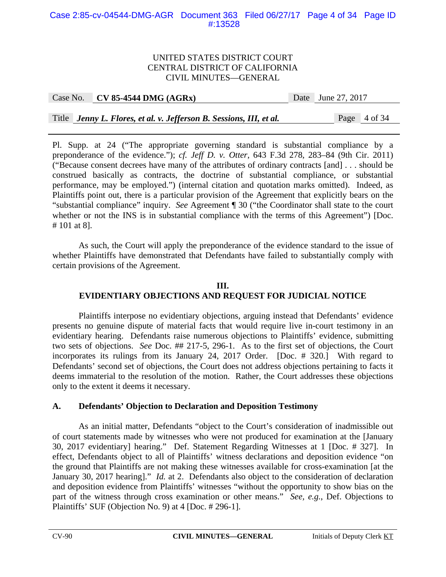#### Case 2:85-cv-04544-DMG-AGR Document 363 Filed 06/27/17 Page 4 of 34 Page ID #:13528

#### UNITED STATES DISTRICT COURT CENTRAL DISTRICT OF CALIFORNIA CIVIL MINUTES—GENERAL

#### Case No. **CV 85-4544 DMG (AGRx)** Date June 27, 2017

Title *Jenny L. Flores, et al. v. Jefferson B. Sessions, III, et al.* Page 4 of 34

Pl. Supp. at 24 ("The appropriate governing standard is substantial compliance by a preponderance of the evidence."); *cf. Jeff D. v. Otter*, 643 F.3d 278, 283–84 (9th Cir. 2011) ("Because consent decrees have many of the attributes of ordinary contracts [and] . . . should be construed basically as contracts, the doctrine of substantial compliance, or substantial performance, may be employed.") (internal citation and quotation marks omitted). Indeed, as Plaintiffs point out, there is a particular provision of the Agreement that explicitly bears on the "substantial compliance" inquiry. *See* Agreement ¶ 30 ("the Coordinator shall state to the court whether or not the INS is in substantial compliance with the terms of this Agreement") [Doc. # 101 at 8].

As such, the Court will apply the preponderance of the evidence standard to the issue of whether Plaintiffs have demonstrated that Defendants have failed to substantially comply with certain provisions of the Agreement.

## **III. EVIDENTIARY OBJECTIONS AND REQUEST FOR JUDICIAL NOTICE**

Plaintiffs interpose no evidentiary objections, arguing instead that Defendants' evidence presents no genuine dispute of material facts that would require live in-court testimony in an evidentiary hearing. Defendants raise numerous objections to Plaintiffs' evidence, submitting two sets of objections. *See* Doc. ## 217-5, 296-1. As to the first set of objections, the Court incorporates its rulings from its January 24, 2017 Order. [Doc. # 320.] With regard to Defendants' second set of objections, the Court does not address objections pertaining to facts it deems immaterial to the resolution of the motion. Rather, the Court addresses these objections only to the extent it deems it necessary.

## **A. Defendants' Objection to Declaration and Deposition Testimony**

 As an initial matter, Defendants "object to the Court's consideration of inadmissible out of court statements made by witnesses who were not produced for examination at the [January 30, 2017 evidentiary] hearing." Def. Statement Regarding Witnesses at 1 [Doc. # 327]. In effect, Defendants object to all of Plaintiffs' witness declarations and deposition evidence "on the ground that Plaintiffs are not making these witnesses available for cross-examination [at the January 30, 2017 hearing]." *Id.* at 2. Defendants also object to the consideration of declaration and deposition evidence from Plaintiffs' witnesses "without the opportunity to show bias on the part of the witness through cross examination or other means." *See, e.g.*, Def. Objections to Plaintiffs' SUF (Objection No. 9) at 4 [Doc. # 296-1].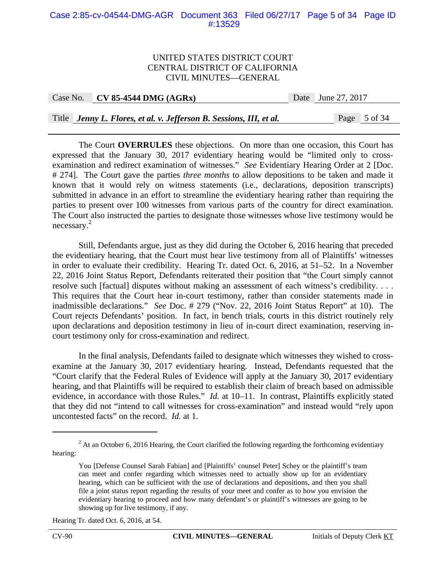#### Case 2:85-cv-04544-DMG-AGR Document 363 Filed 06/27/17 Page 5 of 34 Page ID #:13529

#### UNITED STATES DISTRICT COURT CENTRAL DISTRICT OF CALIFORNIA CIVIL MINUTES—GENERAL

Case No. **CV 85-4544 DMG (AGRx)** Date June 27, 2017

Title *Jenny L. Flores, et al. v. Jefferson B. Sessions, III, et al.* Page 5 of 34

 The Court **OVERRULES** these objections. On more than one occasion, this Court has expressed that the January 30, 2017 evidentiary hearing would be "limited only to crossexamination and redirect examination of witnesses." *See* Evidentiary Hearing Order at 2 [Doc. # 274]. The Court gave the parties *three months* to allow depositions to be taken and made it known that it would rely on witness statements (i.e., declarations, deposition transcripts) submitted in advance in an effort to streamline the evidentiary hearing rather than requiring the parties to present over 100 witnesses from various parts of the country for direct examination. The Court also instructed the parties to designate those witnesses whose live testimony would be necessary. 2

 Still, Defendants argue, just as they did during the October 6, 2016 hearing that preceded the evidentiary hearing, that the Court must hear live testimony from all of Plaintiffs' witnesses in order to evaluate their credibility. Hearing Tr. dated Oct. 6, 2016, at 51–52. In a November 22, 2016 Joint Status Report, Defendants reiterated their position that "the Court simply cannot resolve such [factual] disputes without making an assessment of each witness's credibility. . . . This requires that the Court hear in-court testimony, rather than consider statements made in inadmissible declarations." *See* Doc. # 279 ("Nov. 22, 2016 Joint Status Report" at 10). The Court rejects Defendants' position. In fact, in bench trials, courts in this district routinely rely upon declarations and deposition testimony in lieu of in-court direct examination, reserving incourt testimony only for cross-examination and redirect.

In the final analysis, Defendants failed to designate which witnesses they wished to crossexamine at the January 30, 2017 evidentiary hearing. Instead, Defendants requested that the "Court clarify that the Federal Rules of Evidence will apply at the January 30, 2017 evidentiary hearing, and that Plaintiffs will be required to establish their claim of breach based on admissible evidence, in accordance with those Rules." *Id.* at 10–11. In contrast, Plaintiffs explicitly stated that they did not "intend to call witnesses for cross-examination" and instead would "rely upon uncontested facts" on the record. *Id.* at 1.

Hearing Tr. dated Oct. 6, 2016, at 54.

 $2<sup>2</sup>$  At an October 6, 2016 Hearing, the Court clarified the following regarding the forthcoming evidentiary hearing:

You [Defense Counsel Sarah Fabian] and [Plaintiffs' counsel Peter] Schey or the plaintiff's team can meet and confer regarding which witnesses need to actually show up for an evidentiary hearing, which can be sufficient with the use of declarations and depositions, and then you shall file a joint status report regarding the results of your meet and confer as to how you envision the evidentiary hearing to proceed and how many defendant's or plaintiff's witnesses are going to be showing up for live testimony, if any.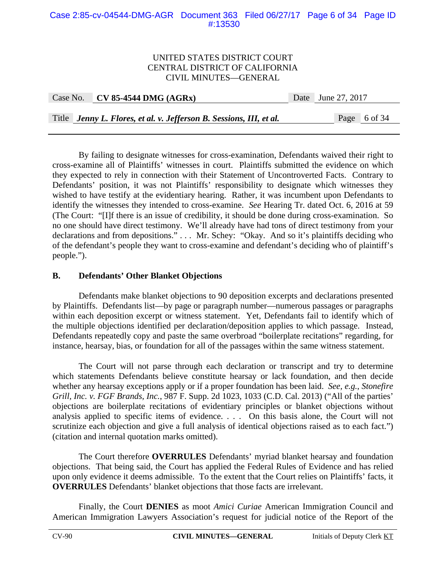#### Case 2:85-cv-04544-DMG-AGR Document 363 Filed 06/27/17 Page 6 of 34 Page ID #:13530

### UNITED STATES DISTRICT COURT CENTRAL DISTRICT OF CALIFORNIA CIVIL MINUTES—GENERAL

| Case No. CV 85-4544 DMG $(AGRx)$ | Date June 27, 2017 |
|----------------------------------|--------------------|
|                                  |                    |

Title *Jenny L. Flores, et al. v. Jefferson B. Sessions, III, et al.* Page 6 of 34

By failing to designate witnesses for cross-examination, Defendants waived their right to cross-examine all of Plaintiffs' witnesses in court. Plaintiffs submitted the evidence on which they expected to rely in connection with their Statement of Uncontroverted Facts. Contrary to Defendants' position, it was not Plaintiffs' responsibility to designate which witnesses they wished to have testify at the evidentiary hearing. Rather, it was incumbent upon Defendants to identify the witnesses they intended to cross-examine. *See* Hearing Tr. dated Oct. 6, 2016 at 59 (The Court: "[I]f there is an issue of credibility, it should be done during cross-examination. So no one should have direct testimony. We'll already have had tons of direct testimony from your declarations and from depositions." . . . Mr. Schey: "Okay. And so it's plaintiffs deciding who of the defendant's people they want to cross-examine and defendant's deciding who of plaintiff's people.").

### **B. Defendants' Other Blanket Objections**

 Defendants make blanket objections to 90 deposition excerpts and declarations presented by Plaintiffs. Defendants list—by page or paragraph number—numerous passages or paragraphs within each deposition excerpt or witness statement. Yet, Defendants fail to identify which of the multiple objections identified per declaration/deposition applies to which passage. Instead, Defendants repeatedly copy and paste the same overbroad "boilerplate recitations" regarding, for instance, hearsay, bias, or foundation for all of the passages within the same witness statement.

The Court will not parse through each declaration or transcript and try to determine which statements Defendants believe constitute hearsay or lack foundation, and then decide whether any hearsay exceptions apply or if a proper foundation has been laid. *See, e.g.*, *Stonefire Grill, Inc. v. FGF Brands, Inc.*, 987 F. Supp. 2d 1023, 1033 (C.D. Cal. 2013) ("All of the parties' objections are boilerplate recitations of evidentiary principles or blanket objections without analysis applied to specific items of evidence. . . . On this basis alone, the Court will not scrutinize each objection and give a full analysis of identical objections raised as to each fact.") (citation and internal quotation marks omitted).

 The Court therefore **OVERRULES** Defendants' myriad blanket hearsay and foundation objections. That being said, the Court has applied the Federal Rules of Evidence and has relied upon only evidence it deems admissible. To the extent that the Court relies on Plaintiffs' facts, it **OVERRULES** Defendants' blanket objections that those facts are irrelevant.

 Finally, the Court **DENIES** as moot *Amici Curiae* American Immigration Council and American Immigration Lawyers Association's request for judicial notice of the Report of the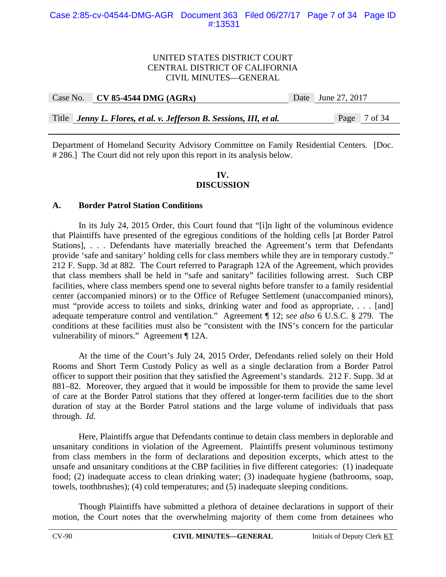| Case No. CV 85-4544 DMG $(AGRx)$                                    | Date June 27, 2017 |  |
|---------------------------------------------------------------------|--------------------|--|
|                                                                     |                    |  |
| Title Jenny L. Flores, et al. v. Jefferson B. Sessions, III, et al. | Page 7 of 34       |  |

Department of Homeland Security Advisory Committee on Family Residential Centers. [Doc. # 286.] The Court did not rely upon this report in its analysis below.

### **IV. DISCUSSION**

### **A. Border Patrol Station Conditions**

 In its July 24, 2015 Order, this Court found that "[i]n light of the voluminous evidence that Plaintiffs have presented of the egregious conditions of the holding cells [at Border Patrol Stations], . . . Defendants have materially breached the Agreement's term that Defendants provide 'safe and sanitary' holding cells for class members while they are in temporary custody." 212 F. Supp. 3d at 882. The Court referred to Paragraph 12A of the Agreement, which provides that class members shall be held in "safe and sanitary" facilities following arrest. Such CBP facilities, where class members spend one to several nights before transfer to a family residential center (accompanied minors) or to the Office of Refugee Settlement (unaccompanied minors), must "provide access to toilets and sinks, drinking water and food as appropriate, . . . [and] adequate temperature control and ventilation." Agreement ¶ 12; *see also* 6 U.S.C. § 279. The conditions at these facilities must also be "consistent with the INS's concern for the particular vulnerability of minors." Agreement ¶ 12A.

 At the time of the Court's July 24, 2015 Order, Defendants relied solely on their Hold Rooms and Short Term Custody Policy as well as a single declaration from a Border Patrol officer to support their position that they satisfied the Agreement's standards. 212 F. Supp. 3d at 881–82. Moreover, they argued that it would be impossible for them to provide the same level of care at the Border Patrol stations that they offered at longer-term facilities due to the short duration of stay at the Border Patrol stations and the large volume of individuals that pass through. *Id.*

 Here, Plaintiffs argue that Defendants continue to detain class members in deplorable and unsanitary conditions in violation of the Agreement. Plaintiffs present voluminous testimony from class members in the form of declarations and deposition excerpts, which attest to the unsafe and unsanitary conditions at the CBP facilities in five different categories: (1) inadequate food; (2) inadequate access to clean drinking water; (3) inadequate hygiene (bathrooms, soap, towels, toothbrushes); (4) cold temperatures; and (5) inadequate sleeping conditions.

 Though Plaintiffs have submitted a plethora of detainee declarations in support of their motion, the Court notes that the overwhelming majority of them come from detainees who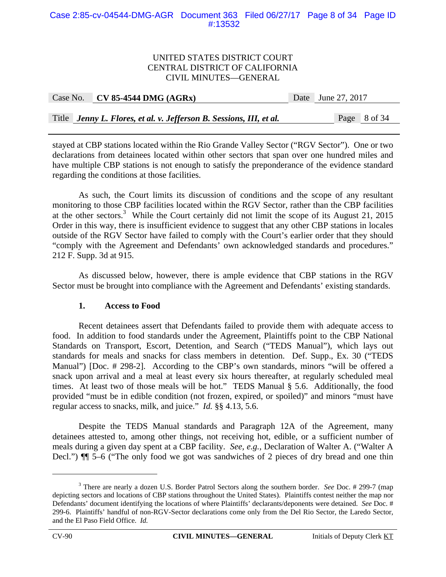#### Case 2:85-cv-04544-DMG-AGR Document 363 Filed 06/27/17 Page 8 of 34 Page ID #:13532

#### UNITED STATES DISTRICT COURT CENTRAL DISTRICT OF CALIFORNIA CIVIL MINUTES—GENERAL

| Case No. CV 85-4544 DMG $(AGRx)$ | Date June 27, 2017 |
|----------------------------------|--------------------|
|                                  |                    |

Title *Jenny L. Flores, et al. v. Jefferson B. Sessions, III, et al.* Page 8 of 34

stayed at CBP stations located within the Rio Grande Valley Sector ("RGV Sector"). One or two declarations from detainees located within other sectors that span over one hundred miles and have multiple CBP stations is not enough to satisfy the preponderance of the evidence standard regarding the conditions at those facilities.

As such, the Court limits its discussion of conditions and the scope of any resultant monitoring to those CBP facilities located within the RGV Sector, rather than the CBP facilities at the other sectors.<sup>3</sup> While the Court certainly did not limit the scope of its August 21, 2015 Order in this way, there is insufficient evidence to suggest that any other CBP stations in locales outside of the RGV Sector have failed to comply with the Court's earlier order that they should "comply with the Agreement and Defendants' own acknowledged standards and procedures." 212 F. Supp. 3d at 915.

 As discussed below, however, there is ample evidence that CBP stations in the RGV Sector must be brought into compliance with the Agreement and Defendants' existing standards.

## **1. Access to Food**

 Recent detainees assert that Defendants failed to provide them with adequate access to food. In addition to food standards under the Agreement, Plaintiffs point to the CBP National Standards on Transport, Escort, Detention, and Search ("TEDS Manual"), which lays out standards for meals and snacks for class members in detention. Def. Supp., Ex. 30 ("TEDS Manual") [Doc. # 298-2]. According to the CBP's own standards, minors "will be offered a snack upon arrival and a meal at least every six hours thereafter, at regularly scheduled meal times. At least two of those meals will be hot." TEDS Manual § 5.6. Additionally, the food provided "must be in edible condition (not frozen, expired, or spoiled)" and minors "must have regular access to snacks, milk, and juice." *Id.* §§ 4.13, 5.6.

Despite the TEDS Manual standards and Paragraph 12A of the Agreement, many detainees attested to, among other things, not receiving hot, edible, or a sufficient number of meals during a given day spent at a CBP facility. *See, e.g.*, Declaration of Walter A. ("Walter A Decl.") ¶¶ 5–6 ("The only food we got was sandwiches of 2 pieces of dry bread and one thin

<sup>&</sup>lt;sup>3</sup> There are nearly a dozen U.S. Border Patrol Sectors along the southern border. *See* Doc. # 299-7 (map depicting sectors and locations of CBP stations throughout the United States). Plaintiffs contest neither the map nor Defendants' document identifying the locations of where Plaintiffs' declarants/deponents were detained. *See* Doc. # 299-6. Plaintiffs' handful of non-RGV-Sector declarations come only from the Del Rio Sector, the Laredo Sector, and the El Paso Field Office. *Id.*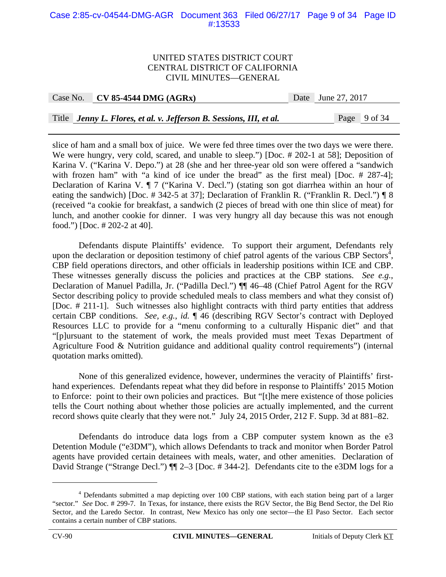#### Case 2:85-cv-04544-DMG-AGR Document 363 Filed 06/27/17 Page 9 of 34 Page ID #:13533

#### UNITED STATES DISTRICT COURT CENTRAL DISTRICT OF CALIFORNIA CIVIL MINUTES—GENERAL

#### Case No. **CV 85-4544 DMG (AGRx)** Date June 27, 2017

Title *Jenny L. Flores, et al. v. Jefferson B. Sessions, III, et al.* Page 9 of 34

slice of ham and a small box of juice. We were fed three times over the two days we were there. We were hungry, very cold, scared, and unable to sleep.") [Doc. # 202-1 at 58]; Deposition of Karina V. ("Karina V. Depo.") at 28 (she and her three-year old son were offered a "sandwich with frozen ham" with "a kind of ice under the bread" as the first meal) [Doc. # 287-4]; Declaration of Karina V. ¶ 7 ("Karina V. Decl.") (stating son got diarrhea within an hour of eating the sandwich) [Doc. # 342-5 at 37]; Declaration of Franklin R. ("Franklin R. Decl.") ¶ 8 (received "a cookie for breakfast, a sandwich (2 pieces of bread with one thin slice of meat) for lunch, and another cookie for dinner. I was very hungry all day because this was not enough food.") [Doc. # 202-2 at 40].

Defendants dispute Plaintiffs' evidence. To support their argument, Defendants rely upon the declaration or deposition testimony of chief patrol agents of the various CBP Sectors<sup> $\frac{4}{3}$ </sup>, CBP field operations directors, and other officials in leadership positions within ICE and CBP. These witnesses generally discuss the policies and practices at the CBP stations. *See e.g.*, Declaration of Manuel Padilla, Jr. ("Padilla Decl.") ¶¶ 46–48 (Chief Patrol Agent for the RGV Sector describing policy to provide scheduled meals to class members and what they consist of) [Doc. # 211-1]. Such witnesses also highlight contracts with third party entities that address certain CBP conditions. *See, e.g.*, *id.* ¶ 46 (describing RGV Sector's contract with Deployed Resources LLC to provide for a "menu conforming to a culturally Hispanic diet" and that "[p]ursuant to the statement of work, the meals provided must meet Texas Department of Agriculture Food & Nutrition guidance and additional quality control requirements") (internal quotation marks omitted).

None of this generalized evidence, however, undermines the veracity of Plaintiffs' firsthand experiences. Defendants repeat what they did before in response to Plaintiffs' 2015 Motion to Enforce: point to their own policies and practices. But "[t]he mere existence of those policies tells the Court nothing about whether those policies are actually implemented, and the current record shows quite clearly that they were not." July 24, 2015 Order, 212 F. Supp. 3d at 881–82.

Defendants do introduce data logs from a CBP computer system known as the e3 Detention Module ("e3DM"), which allows Defendants to track and monitor when Border Patrol agents have provided certain detainees with meals, water, and other amenities. Declaration of David Strange ("Strange Decl.")  $\P$  2–3 [Doc. # 344-2]. Defendants cite to the e3DM logs for a

<u>.</u>

<sup>&</sup>lt;sup>4</sup> Defendants submitted a map depicting over 100 CBP stations, with each station being part of a larger "sector." *See* Doc. # 299-7. In Texas, for instance, there exists the RGV Sector, the Big Bend Sector, the Del Rio Sector, and the Laredo Sector. In contrast, New Mexico has only one sector—the El Paso Sector. Each sector contains a certain number of CBP stations.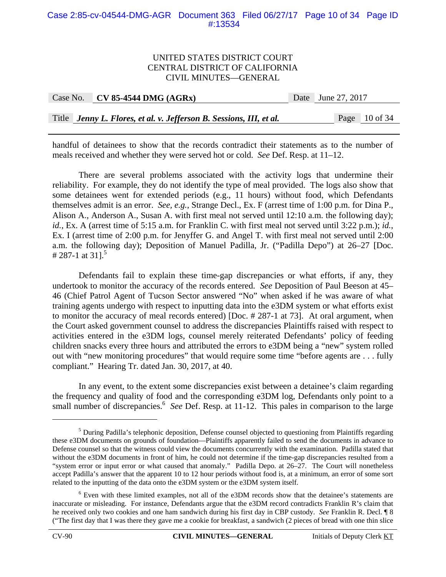#### Case 2:85-cv-04544-DMG-AGR Document 363 Filed 06/27/17 Page 10 of 34 Page ID #:13534

#### UNITED STATES DISTRICT COURT CENTRAL DISTRICT OF CALIFORNIA CIVIL MINUTES—GENERAL

| Case No. | $\sim$ CV 85-4544 DMG (AGRx)                                        | Date June 27, 2017 |  |
|----------|---------------------------------------------------------------------|--------------------|--|
|          |                                                                     |                    |  |
|          | Title Jenny L. Flores, et al. v. Jefferson B. Sessions, III, et al. | Page $10$ of 34    |  |

handful of detainees to show that the records contradict their statements as to the number of meals received and whether they were served hot or cold. *See* Def. Resp. at 11–12.

There are several problems associated with the activity logs that undermine their reliability. For example, they do not identify the type of meal provided. The logs also show that some detainees went for extended periods (e.g., 11 hours) without food, which Defendants themselves admit is an error. *See, e.g.*, Strange Decl., Ex. F (arrest time of 1:00 p.m. for Dina P., Alison A., Anderson A., Susan A. with first meal not served until 12:10 a.m. the following day); *id.*, Ex. A (arrest time of 5:15 a.m. for Franklin C. with first meal not served until 3:22 p.m.); *id.*, Ex. I (arrest time of 2:00 p.m. for Jenyffer G. and Angel T. with first meal not served until 2:00 a.m. the following day); Deposition of Manuel Padilla, Jr. ("Padilla Depo") at 26–27 [Doc. # 287-1 at 31].<sup>5</sup>

Defendants fail to explain these time-gap discrepancies or what efforts, if any, they undertook to monitor the accuracy of the records entered. *See* Deposition of Paul Beeson at 45– 46 (Chief Patrol Agent of Tucson Sector answered "No" when asked if he was aware of what training agents undergo with respect to inputting data into the e3DM system or what efforts exist to monitor the accuracy of meal records entered) [Doc. # 287-1 at 73]. At oral argument, when the Court asked government counsel to address the discrepancies Plaintiffs raised with respect to activities entered in the e3DM logs, counsel merely reiterated Defendants' policy of feeding children snacks every three hours and attributed the errors to e3DM being a "new" system rolled out with "new monitoring procedures" that would require some time "before agents are . . . fully compliant." Hearing Tr. dated Jan. 30, 2017, at 40.

In any event, to the extent some discrepancies exist between a detainee's claim regarding the frequency and quality of food and the corresponding e3DM log, Defendants only point to a small number of discrepancies.<sup>6</sup> See Def. Resp. at 11-12. This pales in comparison to the large

<sup>&</sup>lt;sup>5</sup> During Padilla's telephonic deposition, Defense counsel objected to questioning from Plaintiffs regarding these e3DM documents on grounds of foundation—Plaintiffs apparently failed to send the documents in advance to Defense counsel so that the witness could view the documents concurrently with the examination. Padilla stated that without the e3DM documents in front of him, he could not determine if the time-gap discrepancies resulted from a "system error or input error or what caused that anomaly." Padilla Depo. at 26–27. The Court will nonetheless accept Padilla's answer that the apparent 10 to 12 hour periods without food is, at a minimum, an error of some sort related to the inputting of the data onto the e3DM system or the e3DM system itself.

<sup>&</sup>lt;sup>6</sup> Even with these limited examples, not all of the e3DM records show that the detainee's statements are inaccurate or misleading. For instance, Defendants argue that the e3DM record contradicts Franklin R's claim that he received only two cookies and one ham sandwich during his first day in CBP custody. *See* Franklin R. Decl. ¶ 8 ("The first day that I was there they gave me a cookie for breakfast, a sandwich (2 pieces of bread with one thin slice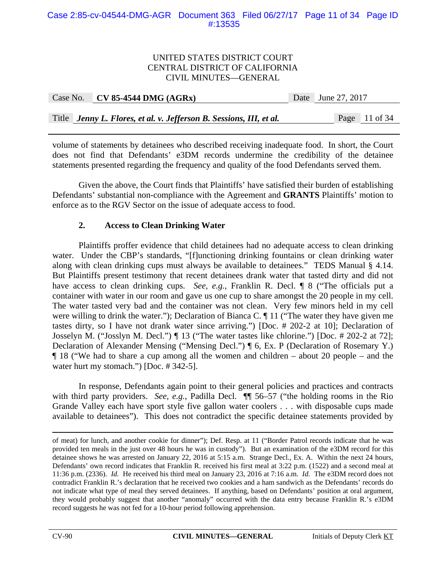#### Case 2:85-cv-04544-DMG-AGR Document 363 Filed 06/27/17 Page 11 of 34 Page ID #:13535

#### UNITED STATES DISTRICT COURT CENTRAL DISTRICT OF CALIFORNIA CIVIL MINUTES—GENERAL

|  | Case No. CV 85-4544 DMG $(AGRx)$                                    | Date June 27, 2017 |               |
|--|---------------------------------------------------------------------|--------------------|---------------|
|  |                                                                     |                    |               |
|  | Title Jenny L. Flores, et al. v. Jefferson B. Sessions, III, et al. |                    | Page 11 of 34 |

volume of statements by detainees who described receiving inadequate food. In short, the Court does not find that Defendants' e3DM records undermine the credibility of the detainee statements presented regarding the frequency and quality of the food Defendants served them.

Given the above, the Court finds that Plaintiffs' have satisfied their burden of establishing Defendants' substantial non-compliance with the Agreement and **GRANTS** Plaintiffs' motion to enforce as to the RGV Sector on the issue of adequate access to food.

## **2. Access to Clean Drinking Water**

 Plaintiffs proffer evidence that child detainees had no adequate access to clean drinking water. Under the CBP's standards, "[f]unctioning drinking fountains or clean drinking water along with clean drinking cups must always be available to detainees." TEDS Manual § 4.14. But Plaintiffs present testimony that recent detainees drank water that tasted dirty and did not have access to clean drinking cups. *See, e.g.*, Franklin R. Decl. **[8** ("The officials put a container with water in our room and gave us one cup to share amongst the 20 people in my cell. The water tasted very bad and the container was not clean. Very few minors held in my cell were willing to drink the water."); Declaration of Bianca C. ¶ 11 ("The water they have given me tastes dirty, so I have not drank water since arriving.") [Doc. # 202-2 at 10]; Declaration of Josselyn M. ("Josslyn M. Decl.") ¶ 13 ("The water tastes like chlorine.") [Doc. # 202-2 at 72]; Declaration of Alexander Mensing ("Mensing Decl.") ¶ 6, Ex. P (Declaration of Rosemary Y.) ¶ 18 ("We had to share a cup among all the women and children – about 20 people – and the water hurt my stomach.") [Doc. #342-5].

 In response, Defendants again point to their general policies and practices and contracts with third party providers. *See, e.g.*, Padilla Decl. ¶¶ 56–57 ("the holding rooms in the Rio Grande Valley each have sport style five gallon water coolers . . . with disposable cups made available to detainees"). This does not contradict the specific detainee statements provided by

of meat) for lunch, and another cookie for dinner"); Def. Resp. at 11 ("Border Patrol records indicate that he was provided ten meals in the just over 48 hours he was in custody"). But an examination of the e3DM record for this detainee shows he was arrested on January 22, 2016 at 5:15 a.m. Strange Decl., Ex. A. Within the next 24 hours, Defendants' own record indicates that Franklin R. received his first meal at 3:22 p.m. (1522) and a second meal at 11:36 p.m. (2336). *Id.* He received his third meal on January 23, 2016 at 7:16 a.m. *Id.* The e3DM record does not contradict Franklin R.'s declaration that he received two cookies and a ham sandwich as the Defendants' records do not indicate what type of meal they served detainees. If anything, based on Defendants' position at oral argument, they would probably suggest that another "anomaly" occurred with the data entry because Franklin R.'s e3DM record suggests he was not fed for a 10-hour period following apprehension.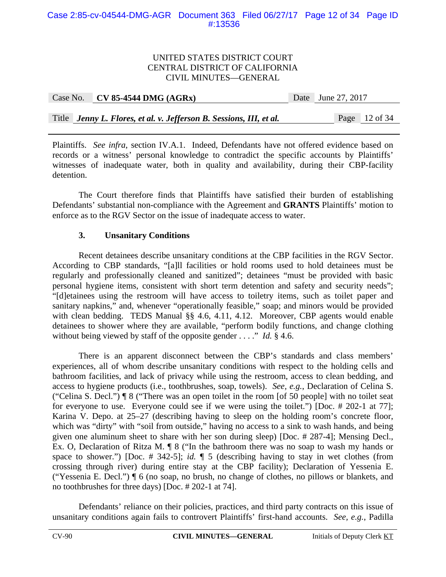#### Case 2:85-cv-04544-DMG-AGR Document 363 Filed 06/27/17 Page 12 of 34 Page ID #:13536

#### UNITED STATES DISTRICT COURT CENTRAL DISTRICT OF CALIFORNIA CIVIL MINUTES—GENERAL

|  | Case No. $\vert$ CV 85-4544 DMG (AGRx)                              | Date June 27, 2017 |               |
|--|---------------------------------------------------------------------|--------------------|---------------|
|  |                                                                     |                    |               |
|  | Title Jenny L. Flores, et al. v. Jefferson B. Sessions, III, et al. |                    | Page 12 of 34 |

Plaintiffs. *See infra*, section IV.A.1. Indeed, Defendants have not offered evidence based on records or a witness' personal knowledge to contradict the specific accounts by Plaintiffs' witnesses of inadequate water, both in quality and availability, during their CBP-facility detention.

The Court therefore finds that Plaintiffs have satisfied their burden of establishing Defendants' substantial non-compliance with the Agreement and **GRANTS** Plaintiffs' motion to enforce as to the RGV Sector on the issue of inadequate access to water.

## **3. Unsanitary Conditions**

 Recent detainees describe unsanitary conditions at the CBP facilities in the RGV Sector. According to CBP standards, "[a]ll facilities or hold rooms used to hold detainees must be regularly and professionally cleaned and sanitized"; detainees "must be provided with basic personal hygiene items, consistent with short term detention and safety and security needs"; "[d]etainees using the restroom will have access to toiletry items, such as toilet paper and sanitary napkins," and, whenever "operationally feasible," soap; and minors would be provided with clean bedding. TEDS Manual §§ 4.6, 4.11, 4.12. Moreover, CBP agents would enable detainees to shower where they are available, "perform bodily functions, and change clothing without being viewed by staff of the opposite gender . . . ." *Id.* § 4.6.

 There is an apparent disconnect between the CBP's standards and class members' experiences, all of whom describe unsanitary conditions with respect to the holding cells and bathroom facilities, and lack of privacy while using the restroom, access to clean bedding, and access to hygiene products (i.e., toothbrushes, soap, towels). *See, e.g.*, Declaration of Celina S. ("Celina S. Decl.") ¶ 8 ("There was an open toilet in the room [of 50 people] with no toilet seat for everyone to use. Everyone could see if we were using the toilet.") [Doc. # 202-1 at 77]; Karina V. Depo. at 25–27 (describing having to sleep on the holding room's concrete floor, which was "dirty" with "soil from outside," having no access to a sink to wash hands, and being given one aluminum sheet to share with her son during sleep) [Doc. # 287-4]; Mensing Decl., Ex. O, Declaration of Ritza M. ¶ 8 ("In the bathroom there was no soap to wash my hands or space to shower.") [Doc. # 342-5]; *id.* ¶ 5 (describing having to stay in wet clothes (from crossing through river) during entire stay at the CBP facility); Declaration of Yessenia E. ("Yessenia E. Decl.") ¶ 6 (no soap, no brush, no change of clothes, no pillows or blankets, and no toothbrushes for three days) [Doc. # 202-1 at 74].

 Defendants' reliance on their policies, practices, and third party contracts on this issue of unsanitary conditions again fails to controvert Plaintiffs' first-hand accounts. *See, e.g.*, Padilla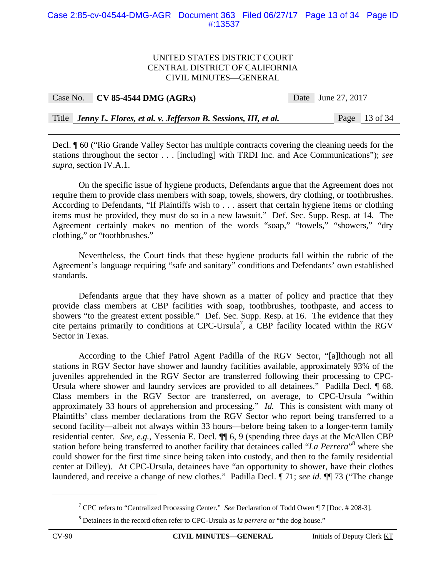#### Case 2:85-cv-04544-DMG-AGR Document 363 Filed 06/27/17 Page 13 of 34 Page ID #:13537

#### UNITED STATES DISTRICT COURT CENTRAL DISTRICT OF CALIFORNIA CIVIL MINUTES—GENERAL

| Case No. | $CV 85-4544 DMG (AGRx)$                                             | Date June 27, 2017 |               |
|----------|---------------------------------------------------------------------|--------------------|---------------|
|          |                                                                     |                    |               |
|          | Title Jenny L. Flores, et al. v. Jefferson B. Sessions, III, et al. |                    | Page 13 of 34 |

Decl. ¶ 60 ("Rio Grande Valley Sector has multiple contracts covering the cleaning needs for the stations throughout the sector . . . [including] with TRDI Inc. and Ace Communications"); *see supra*, section IV.A.1.

On the specific issue of hygiene products, Defendants argue that the Agreement does not require them to provide class members with soap, towels, showers, dry clothing, or toothbrushes. According to Defendants, "If Plaintiffs wish to . . . assert that certain hygiene items or clothing items must be provided, they must do so in a new lawsuit." Def. Sec. Supp. Resp. at 14. The Agreement certainly makes no mention of the words "soap," "towels," "showers," "dry clothing," or "toothbrushes."

Nevertheless, the Court finds that these hygiene products fall within the rubric of the Agreement's language requiring "safe and sanitary" conditions and Defendants' own established standards.

Defendants argue that they have shown as a matter of policy and practice that they provide class members at CBP facilities with soap, toothbrushes, toothpaste, and access to showers "to the greatest extent possible." Def. Sec. Supp. Resp. at 16. The evidence that they cite pertains primarily to conditions at CPC-Ursula<sup>7</sup>, a CBP facility located within the RGV Sector in Texas.

According to the Chief Patrol Agent Padilla of the RGV Sector, "[a]lthough not all stations in RGV Sector have shower and laundry facilities available, approximately 93% of the juveniles apprehended in the RGV Sector are transferred following their processing to CPC-Ursula where shower and laundry services are provided to all detainees." Padilla Decl.  $\llbracket 68$ . Class members in the RGV Sector are transferred, on average, to CPC-Ursula "within approximately 33 hours of apprehension and processing." *Id.* This is consistent with many of Plaintiffs' class member declarations from the RGV Sector who report being transferred to a second facility—albeit not always within 33 hours—before being taken to a longer-term family residential center. *See, e.g.*, Yessenia E. Decl. ¶¶ 6, 9 (spending three days at the McAllen CBP station before being transferred to another facility that detainees called "*La Perrera*"<sup>8</sup> where she could shower for the first time since being taken into custody, and then to the family residential center at Dilley). At CPC-Ursula, detainees have "an opportunity to shower, have their clothes laundered, and receive a change of new clothes." Padilla Decl. ¶ 71; *see id.* ¶¶ 73 ("The change

<sup>7</sup> CPC refers to "Centralized Processing Center." *See* Declaration of Todd Owen ¶ 7 [Doc. # 208-3].

<sup>8</sup> Detainees in the record often refer to CPC-Ursula as *la perrera* or "the dog house."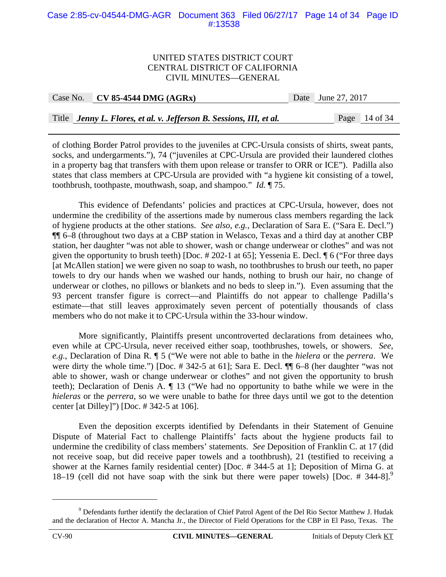#### Case 2:85-cv-04544-DMG-AGR Document 363 Filed 06/27/17 Page 14 of 34 Page ID #:13538

#### UNITED STATES DISTRICT COURT CENTRAL DISTRICT OF CALIFORNIA CIVIL MINUTES—GENERAL

| Case No. | $CV 85-4544 DMG (AGRx)$                                             | Date June 27, 2017 |                 |
|----------|---------------------------------------------------------------------|--------------------|-----------------|
|          |                                                                     |                    |                 |
|          | Title Jenny L. Flores, et al. v. Jefferson B. Sessions, III, et al. |                    | Page $14$ of 34 |

of clothing Border Patrol provides to the juveniles at CPC-Ursula consists of shirts, sweat pants, socks, and undergarments."), 74 ("juveniles at CPC-Ursula are provided their laundered clothes in a property bag that transfers with them upon release or transfer to ORR or ICE"). Padilla also states that class members at CPC-Ursula are provided with "a hygiene kit consisting of a towel, toothbrush, toothpaste, mouthwash, soap, and shampoo." *Id.* ¶ 75.

This evidence of Defendants' policies and practices at CPC-Ursula, however, does not undermine the credibility of the assertions made by numerous class members regarding the lack of hygiene products at the other stations. *See also, e.g.*, Declaration of Sara E. ("Sara E. Decl.") ¶¶ 6–8 (throughout two days at a CBP station in Welasco, Texas and a third day at another CBP station, her daughter "was not able to shower, wash or change underwear or clothes" and was not given the opportunity to brush teeth) [Doc. # 202-1 at 65]; Yessenia E. Decl. ¶ 6 ("For three days [at McAllen station] we were given no soap to wash, no toothbrushes to brush our teeth, no paper towels to dry our hands when we washed our hands, nothing to brush our hair, no change of underwear or clothes, no pillows or blankets and no beds to sleep in."). Even assuming that the 93 percent transfer figure is correct—and Plaintiffs do not appear to challenge Padilla's estimate—that still leaves approximately seven percent of potentially thousands of class members who do not make it to CPC-Ursula within the 33-hour window.

More significantly, Plaintiffs present uncontroverted declarations from detainees who, even while at CPC-Ursula, never received either soap, toothbrushes, towels, or showers. *See, e.g.*, Declaration of Dina R. ¶ 5 ("We were not able to bathe in the *hielera* or the *perrera*. We were dirty the whole time.") [Doc. # 342-5 at 61]; Sara E. Decl.  $\P$  6–8 (her daughter "was not able to shower, wash or change underwear or clothes" and not given the opportunity to brush teeth); Declaration of Denis A. ¶ 13 ("We had no opportunity to bathe while we were in the *hieleras* or the *perrera*, so we were unable to bathe for three days until we got to the detention center [at Dilley]") [Doc. # 342-5 at 106].

Even the deposition excerpts identified by Defendants in their Statement of Genuine Dispute of Material Fact to challenge Plaintiffs' facts about the hygiene products fail to undermine the credibility of class members' statements. *See* Deposition of Franklin C. at 17 (did not receive soap, but did receive paper towels and a toothbrush), 21 (testified to receiving a shower at the Karnes family residential center) [Doc. # 344-5 at 1]; Deposition of Mirna G. at 18–19 (cell did not have soap with the sink but there were paper towels) [Doc. # 344-8].<sup>9</sup>

1

<sup>&</sup>lt;sup>9</sup> Defendants further identify the declaration of Chief Patrol Agent of the Del Rio Sector Matthew J. Hudak and the declaration of Hector A. Mancha Jr., the Director of Field Operations for the CBP in El Paso, Texas. The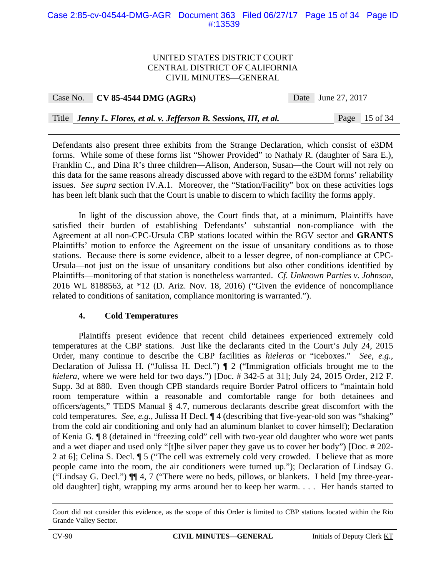#### Case 2:85-cv-04544-DMG-AGR Document 363 Filed 06/27/17 Page 15 of 34 Page ID #:13539

#### UNITED STATES DISTRICT COURT CENTRAL DISTRICT OF CALIFORNIA CIVIL MINUTES—GENERAL

| Case No. | $CV 85-4544 DMG (AGRx)$ |
|----------|-------------------------|
|----------|-------------------------|

Date June 27, 2017

Title *Jenny L. Flores, et al. v. Jefferson B. Sessions, III, et al.* Page 15 of 34

Defendants also present three exhibits from the Strange Declaration, which consist of e3DM forms. While some of these forms list "Shower Provided" to Nathaly R. (daughter of Sara E.), Franklin C., and Dina R's three children—Alison, Anderson, Susan—the Court will not rely on this data for the same reasons already discussed above with regard to the e3DM forms' reliability issues. *See supra* section IV.A.1. Moreover, the "Station/Facility" box on these activities logs has been left blank such that the Court is unable to discern to which facility the forms apply.

In light of the discussion above, the Court finds that, at a minimum, Plaintiffs have satisfied their burden of establishing Defendants' substantial non-compliance with the Agreement at all non-CPC-Ursula CBP stations located within the RGV sector and **GRANTS** Plaintiffs' motion to enforce the Agreement on the issue of unsanitary conditions as to those stations. Because there is some evidence, albeit to a lesser degree, of non-compliance at CPC-Ursula—not just on the issue of unsanitary conditions but also other conditions identified by Plaintiffs—monitoring of that station is nonetheless warranted. *Cf. Unknown Parties v. Johnson*, 2016 WL 8188563, at \*12 (D. Ariz. Nov. 18, 2016) ("Given the evidence of noncompliance related to conditions of sanitation, compliance monitoring is warranted.").

#### **4. Cold Temperatures**

 Plaintiffs present evidence that recent child detainees experienced extremely cold temperatures at the CBP stations. Just like the declarants cited in the Court's July 24, 2015 Order, many continue to describe the CBP facilities as *hieleras* or "iceboxes." *See, e.g.*, Declaration of Julissa H. ("Julissa H. Decl.") ¶ 2 ("Immigration officials brought me to the *hielera*, where we were held for two days.") [Doc. # 342-5 at 31]; July 24, 2015 Order, 212 F. Supp. 3d at 880. Even though CPB standards require Border Patrol officers to "maintain hold room temperature within a reasonable and comfortable range for both detainees and officers/agents," TEDS Manual § 4.7, numerous declarants describe great discomfort with the cold temperatures. *See, e.g.*, Julissa H Decl. ¶ 4 (describing that five-year-old son was "shaking" from the cold air conditioning and only had an aluminum blanket to cover himself); Declaration of Kenia G. ¶ 8 (detained in "freezing cold" cell with two-year old daughter who wore wet pants and a wet diaper and used only "[t]he silver paper they gave us to cover her body") [Doc. # 202- 2 at 6]; Celina S. Decl. ¶ 5 ("The cell was extremely cold very crowded. I believe that as more people came into the room, the air conditioners were turned up."); Declaration of Lindsay G. ("Lindsay G. Decl.") ¶¶ 4, 7 ("There were no beds, pillows, or blankets. I held [my three-yearold daughter] tight, wrapping my arms around her to keep her warm. . . . Her hands started to

Court did not consider this evidence, as the scope of this Order is limited to CBP stations located within the Rio Grande Valley Sector.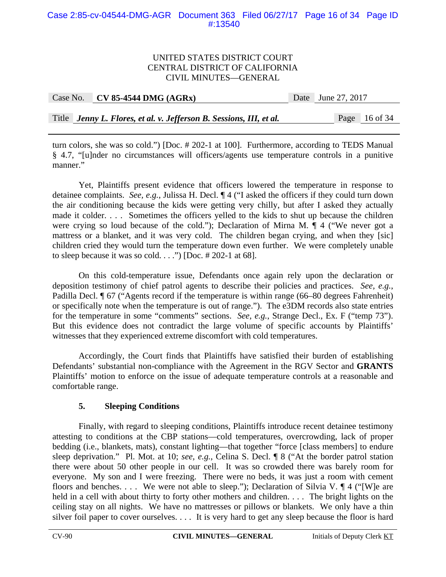#### Case 2:85-cv-04544-DMG-AGR Document 363 Filed 06/27/17 Page 16 of 34 Page ID #:13540

#### UNITED STATES DISTRICT COURT CENTRAL DISTRICT OF CALIFORNIA CIVIL MINUTES—GENERAL

| Case No. $\vert$ CV 85-4544 DMG (AGRx)                              | Date June 27, 2017 |               |  |
|---------------------------------------------------------------------|--------------------|---------------|--|
|                                                                     |                    |               |  |
| Title Jenny L. Flores, et al. v. Jefferson B. Sessions, III, et al. |                    | Page 16 of 34 |  |

turn colors, she was so cold.") [Doc. # 202-1 at 100]. Furthermore, according to TEDS Manual § 4.7, "[u]nder no circumstances will officers/agents use temperature controls in a punitive manner."

Yet, Plaintiffs present evidence that officers lowered the temperature in response to detainee complaints. *See, e.g.*, Julissa H. Decl. ¶ 4 ("I asked the officers if they could turn down the air conditioning because the kids were getting very chilly, but after I asked they actually made it colder. . . . Sometimes the officers yelled to the kids to shut up because the children were crying so loud because of the cold."); Declaration of Mirna M. ¶ 4 ("We never got a mattress or a blanket, and it was very cold. The children began crying, and when they [sic] children cried they would turn the temperature down even further. We were completely unable to sleep because it was so cold. . . .") [Doc.  $\# 202-1$  at 68].

On this cold-temperature issue, Defendants once again rely upon the declaration or deposition testimony of chief patrol agents to describe their policies and practices. *See, e.g.*, Padilla Decl. ¶ 67 ("Agents record if the temperature is within range (66–80 degrees Fahrenheit) or specifically note when the temperature is out of range."). The e3DM records also state entries for the temperature in some "comments" sections. *See, e.g.*, Strange Decl., Ex. F ("temp 73"). But this evidence does not contradict the large volume of specific accounts by Plaintiffs' witnesses that they experienced extreme discomfort with cold temperatures.

 Accordingly, the Court finds that Plaintiffs have satisfied their burden of establishing Defendants' substantial non-compliance with the Agreement in the RGV Sector and **GRANTS** Plaintiffs' motion to enforce on the issue of adequate temperature controls at a reasonable and comfortable range.

## **5. Sleeping Conditions**

Finally, with regard to sleeping conditions, Plaintiffs introduce recent detainee testimony attesting to conditions at the CBP stations—cold temperatures, overcrowding, lack of proper bedding (i.e., blankets, mats), constant lighting—that together "force [class members] to endure sleep deprivation." Pl. Mot. at 10; *see, e.g.*, Celina S. Decl. ¶ 8 ("At the border patrol station there were about 50 other people in our cell. It was so crowded there was barely room for everyone. My son and I were freezing. There were no beds, it was just a room with cement floors and benches. . . . We were not able to sleep."); Declaration of Silvia V.  $\P$ 4 ("[W]e are held in a cell with about thirty to forty other mothers and children. ... The bright lights on the ceiling stay on all nights. We have no mattresses or pillows or blankets. We only have a thin silver foil paper to cover ourselves. . . . It is very hard to get any sleep because the floor is hard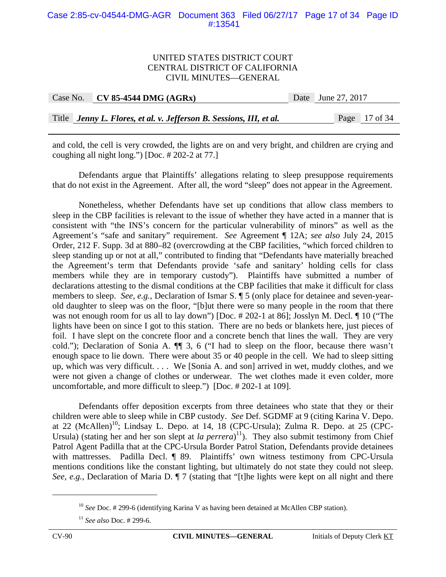#### Case 2:85-cv-04544-DMG-AGR Document 363 Filed 06/27/17 Page 17 of 34 Page ID #:13541

#### UNITED STATES DISTRICT COURT CENTRAL DISTRICT OF CALIFORNIA CIVIL MINUTES—GENERAL

| Case No. | $CV 85-4544 DMG (AGRx)$                                             | Date June 27, 2017 |
|----------|---------------------------------------------------------------------|--------------------|
|          |                                                                     |                    |
|          | Title Jenny L. Flores, et al. v. Jefferson B. Sessions, III, et al. | Page 17 of 34      |

and cold, the cell is very crowded, the lights are on and very bright, and children are crying and coughing all night long.") [Doc. # 202-2 at 77.]

 Defendants argue that Plaintiffs' allegations relating to sleep presuppose requirements that do not exist in the Agreement. After all, the word "sleep" does not appear in the Agreement.

Nonetheless, whether Defendants have set up conditions that allow class members to sleep in the CBP facilities is relevant to the issue of whether they have acted in a manner that is consistent with "the INS's concern for the particular vulnerability of minors" as well as the Agreement's "safe and sanitary" requirement. *See* Agreement ¶ 12A; *see also* July 24, 2015 Order, 212 F. Supp. 3d at 880–82 (overcrowding at the CBP facilities, "which forced children to sleep standing up or not at all," contributed to finding that "Defendants have materially breached the Agreement's term that Defendants provide 'safe and sanitary' holding cells for class members while they are in temporary custody"). Plaintiffs have submitted a number of declarations attesting to the dismal conditions at the CBP facilities that make it difficult for class members to sleep. *See, e.g.*, Declaration of Ismar S. ¶ 5 (only place for detainee and seven-yearold daughter to sleep was on the floor, "[b]ut there were so many people in the room that there was not enough room for us all to lay down") [Doc. # 202-1 at 86]; Josslyn M. Decl. ¶ 10 ("The lights have been on since I got to this station. There are no beds or blankets here, just pieces of foil. I have slept on the concrete floor and a concrete bench that lines the wall. They are very cold."); Declaration of Sonia A. ¶¶ 3, 6 ("I had to sleep on the floor, because there wasn't enough space to lie down. There were about 35 or 40 people in the cell. We had to sleep sitting up, which was very difficult. . . . We [Sonia A. and son] arrived in wet, muddy clothes, and we were not given a change of clothes or underwear. The wet clothes made it even colder, more uncomfortable, and more difficult to sleep.") [Doc. # 202-1 at 109].

Defendants offer deposition excerpts from three detainees who state that they or their children were able to sleep while in CBP custody. *See* Def. SGDMF at 9 (citing Karina V. Depo. at 22  $(McAllen)^{10}$ ; Lindsay L. Depo. at 14, 18 (CPC-Ursula); Zulma R. Depo. at 25 (CPC-Ursula) (stating her and her son slept at *la perrera*)<sup>11</sup>). They also submit testimony from Chief Patrol Agent Padilla that at the CPC-Ursula Border Patrol Station, Defendants provide detainees with mattresses. Padilla Decl. ¶ 89. Plaintiffs' own witness testimony from CPC-Ursula mentions conditions like the constant lighting, but ultimately do not state they could not sleep. *See, e.g.*, Declaration of Maria D. ¶ 7 (stating that "[t]he lights were kept on all night and there

1

<sup>&</sup>lt;sup>10</sup> *See* Doc. # 299-6 (identifying Karina V as having been detained at McAllen CBP station).

<sup>11</sup> *See also* Doc. # 299-6.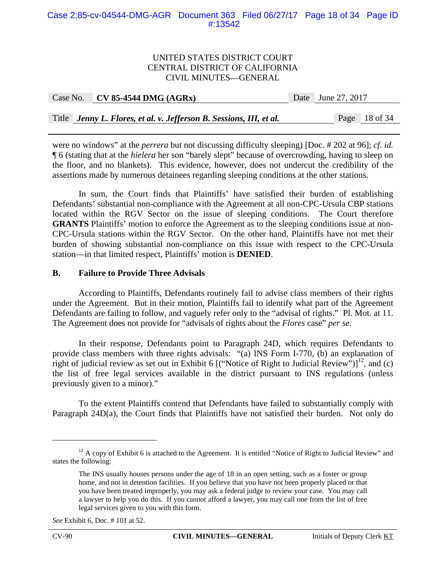#### Case 2:85-cv-04544-DMG-AGR Document 363 Filed 06/27/17 Page 18 of 34 Page ID #:13542

#### UNITED STATES DISTRICT COURT CENTRAL DISTRICT OF CALIFORNIA CIVIL MINUTES—GENERAL

|  | Case No. CV 85-4544 DMG $(AGRx)$                                    | Date June 27, 2017 |               |
|--|---------------------------------------------------------------------|--------------------|---------------|
|  |                                                                     |                    |               |
|  | Title Jenny L. Flores, et al. v. Jefferson B. Sessions, III, et al. |                    | Page 18 of 34 |

were no windows" at the *perrera* but not discussing difficulty sleeping) [Doc. # 202 at 96]; *cf. id.* ¶ 6 (stating that at the *hielera* her son "barely slept" because of overcrowding, having to sleep on the floor, and no blankets). This evidence, however, does not undercut the credibility of the assertions made by numerous detainees regarding sleeping conditions at the other stations.

In sum, the Court finds that Plaintiffs' have satisfied their burden of establishing Defendants' substantial non-compliance with the Agreement at all non-CPC-Ursula CBP stations located within the RGV Sector on the issue of sleeping conditions. The Court therefore **GRANTS** Plaintiffs' motion to enforce the Agreement as to the sleeping conditions issue at non-CPC-Ursula stations within the RGV Sector. On the other hand, Plaintiffs have not met their burden of showing substantial non-compliance on this issue with respect to the CPC-Ursula station—in that limited respect, Plaintiffs' motion is **DENIED**.

#### **B. Failure to Provide Three Advisals**

According to Plaintiffs, Defendants routinely fail to advise class members of their rights under the Agreement. But in their motion, Plaintiffs fail to identify what part of the Agreement Defendants are failing to follow, and vaguely refer only to the "advisal of rights." Pl. Mot. at 11. The Agreement does not provide for "advisals of rights about the *Flores* case" *per se*.

In their response, Defendants point to Paragraph 24D, which requires Defendants to provide class members with three rights advisals: "(a) INS Form I-770, (b) an explanation of right of judicial review as set out in Exhibit 6 [("Notice of Right to Judicial Review")]<sup>12</sup>, and (c) the list of free legal services available in the district pursuant to INS regulations (unless previously given to a minor)."

To the extent Plaintiffs contend that Defendants have failed to substantially comply with Paragraph 24D(a), the Court finds that Plaintiffs have not satisfied their burden. Not only do

1

<sup>&</sup>lt;sup>12</sup> A copy of Exhibit 6 is attached to the Agreement. It is entitled "Notice of Right to Judicial Review" and states the following:

The INS usually houses persons under the age of 18 in an open setting, such as a foster or group home, and not in detention facilities. If you believe that you have not been properly placed or that you have been treated improperly, you may ask a federal judge to review your case. You may call a lawyer to help you do this. If you cannot afford a lawyer, you may call one from the list of free legal services given to you with this form.

*See* Exhibit 6, Doc. # 101 at 52.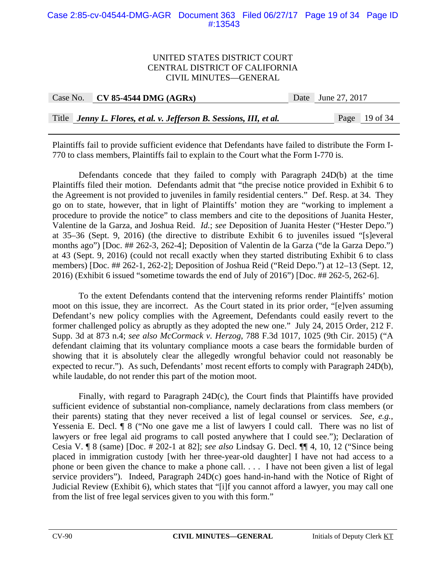#### Case 2:85-cv-04544-DMG-AGR Document 363 Filed 06/27/17 Page 19 of 34 Page ID #:13543

#### UNITED STATES DISTRICT COURT CENTRAL DISTRICT OF CALIFORNIA CIVIL MINUTES—GENERAL

| Case No. | $CV 85-4544 DMG (AGRx)$                                             | Date June 27, 2017 |
|----------|---------------------------------------------------------------------|--------------------|
|          |                                                                     |                    |
|          | Title Jenny L. Flores, et al. v. Jefferson B. Sessions, III, et al. | Page 19 of 34      |

Plaintiffs fail to provide sufficient evidence that Defendants have failed to distribute the Form I-770 to class members, Plaintiffs fail to explain to the Court what the Form I-770 is.

Defendants concede that they failed to comply with Paragraph 24D(b) at the time Plaintiffs filed their motion. Defendants admit that "the precise notice provided in Exhibit 6 to the Agreement is not provided to juveniles in family residential centers." Def. Resp. at 34. They go on to state, however, that in light of Plaintiffs' motion they are "working to implement a procedure to provide the notice" to class members and cite to the depositions of Juanita Hester, Valentine de la Garza, and Joshua Reid. *Id.*; *see* Deposition of Juanita Hester ("Hester Depo.") at 35–36 (Sept. 9, 2016) (the directive to distribute Exhibit 6 to juveniles issued "[s]everal months ago") [Doc. ## 262-3, 262-4]; Deposition of Valentin de la Garza ("de la Garza Depo.") at 43 (Sept. 9, 2016) (could not recall exactly when they started distributing Exhibit 6 to class members) [Doc. ## 262-1, 262-2]; Deposition of Joshua Reid ("Reid Depo.") at 12–13 (Sept. 12, 2016) (Exhibit 6 issued "sometime towards the end of July of 2016") [Doc. ## 262-5, 262-6].

To the extent Defendants contend that the intervening reforms render Plaintiffs' motion moot on this issue, they are incorrect. As the Court stated in its prior order, "[e]ven assuming Defendant's new policy complies with the Agreement, Defendants could easily revert to the former challenged policy as abruptly as they adopted the new one." July 24, 2015 Order, 212 F. Supp. 3d at 873 n.4; *see also McCormack v. Herzog*, 788 F.3d 1017, 1025 (9th Cir. 2015) ("A defendant claiming that its voluntary compliance moots a case bears the formidable burden of showing that it is absolutely clear the allegedly wrongful behavior could not reasonably be expected to recur."). As such, Defendants' most recent efforts to comply with Paragraph 24D(b), while laudable, do not render this part of the motion moot.

Finally, with regard to Paragraph 24D(c), the Court finds that Plaintiffs have provided sufficient evidence of substantial non-compliance, namely declarations from class members (or their parents) stating that they never received a list of legal counsel or services. *See, e.g.*, Yessenia E. Decl. ¶ 8 ("No one gave me a list of lawyers I could call. There was no list of lawyers or free legal aid programs to call posted anywhere that I could see."); Declaration of Cesia V. ¶ 8 (same) [Doc. # 202-1 at 82]; *see also* Lindsay G. Decl. ¶¶ 4, 10, 12 ("Since being placed in immigration custody [with her three-year-old daughter] I have not had access to a phone or been given the chance to make a phone call. . . . I have not been given a list of legal service providers"). Indeed, Paragraph 24D(c) goes hand-in-hand with the Notice of Right of Judicial Review (Exhibit 6), which states that "[i]f you cannot afford a lawyer, you may call one from the list of free legal services given to you with this form."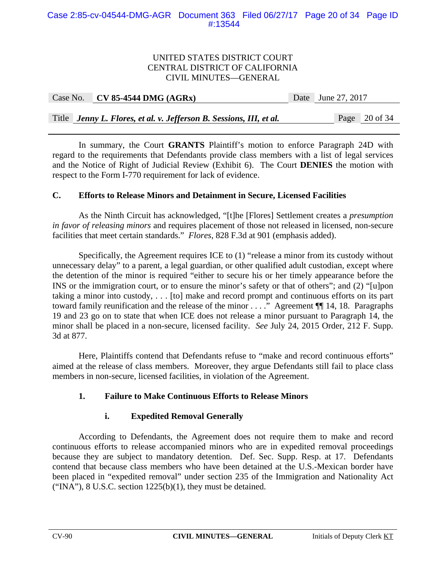| Case No. | $CV 85-4544 DMG (AGRx)$                                             | Date June 27, 2017 |               |
|----------|---------------------------------------------------------------------|--------------------|---------------|
|          |                                                                     |                    |               |
|          | Title Jenny L. Flores, et al. v. Jefferson B. Sessions, III, et al. |                    | Page 20 of 34 |

In summary, the Court **GRANTS** Plaintiff's motion to enforce Paragraph 24D with regard to the requirements that Defendants provide class members with a list of legal services and the Notice of Right of Judicial Review (Exhibit 6). The Court **DENIES** the motion with respect to the Form I-770 requirement for lack of evidence.

## **C. Efforts to Release Minors and Detainment in Secure, Licensed Facilities**

 As the Ninth Circuit has acknowledged, "[t]he [Flores] Settlement creates a *presumption in favor of releasing minors* and requires placement of those not released in licensed, non-secure facilities that meet certain standards." *Flores*, 828 F.3d at 901 (emphasis added).

Specifically, the Agreement requires ICE to (1) "release a minor from its custody without unnecessary delay" to a parent, a legal guardian, or other qualified adult custodian, except where the detention of the minor is required "either to secure his or her timely appearance before the INS or the immigration court, or to ensure the minor's safety or that of others"; and (2) "[u]pon taking a minor into custody, . . . [to] make and record prompt and continuous efforts on its part toward family reunification and the release of the minor . . . ." Agreement ¶¶ 14, 18. Paragraphs 19 and 23 go on to state that when ICE does not release a minor pursuant to Paragraph 14, the minor shall be placed in a non-secure, licensed facility. *See* July 24, 2015 Order, 212 F. Supp. 3d at 877.

 Here, Plaintiffs contend that Defendants refuse to "make and record continuous efforts" aimed at the release of class members. Moreover, they argue Defendants still fail to place class members in non-secure, licensed facilities, in violation of the Agreement.

# **1. Failure to Make Continuous Efforts to Release Minors**

## **i. Expedited Removal Generally**

 According to Defendants, the Agreement does not require them to make and record continuous efforts to release accompanied minors who are in expedited removal proceedings because they are subject to mandatory detention. Def. Sec. Supp. Resp. at 17. Defendants contend that because class members who have been detained at the U.S.-Mexican border have been placed in "expedited removal" under section 235 of the Immigration and Nationality Act ("INA"),  $8$  U.S.C. section 1225(b)(1), they must be detained.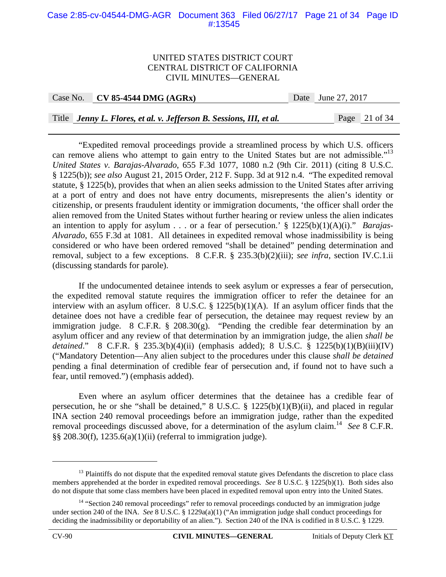#### Case 2:85-cv-04544-DMG-AGR Document 363 Filed 06/27/17 Page 21 of 34 Page ID #:13545

#### UNITED STATES DISTRICT COURT CENTRAL DISTRICT OF CALIFORNIA CIVIL MINUTES—GENERAL

Case No. **CV 85-4544 DMG (AGRx)** Date June 27, 2017

Title *Jenny L. Flores, et al. v. Jefferson B. Sessions, III, et al.* Page 21 of 34

 "Expedited removal proceedings provide a streamlined process by which U.S. officers can remove aliens who attempt to gain entry to the United States but are not admissible."<sup>13</sup> *United States v. Barajas-Alvarado*, 655 F.3d 1077, 1080 n.2 (9th Cir. 2011) (citing 8 U.S.C. § 1225(b)); *see also* August 21, 2015 Order, 212 F. Supp. 3d at 912 n.4. "The expedited removal statute, § 1225(b), provides that when an alien seeks admission to the United States after arriving at a port of entry and does not have entry documents, misrepresents the alien's identity or citizenship, or presents fraudulent identity or immigration documents, 'the officer shall order the alien removed from the United States without further hearing or review unless the alien indicates an intention to apply for asylum . . . or a fear of persecution.' § 1225(b)(1)(A)(i)." *Barajas-Alvarado*, 655 F.3d at 1081. All detainees in expedited removal whose inadmissibility is being considered or who have been ordered removed "shall be detained" pending determination and removal, subject to a few exceptions. 8 C.F.R. § 235.3(b)(2)(iii); *see infra*, section IV.C.1.ii (discussing standards for parole).

If the undocumented detainee intends to seek asylum or expresses a fear of persecution, the expedited removal statute requires the immigration officer to refer the detainee for an interview with an asylum officer. 8 U.S.C. § 1225(b)(1)(A). If an asylum officer finds that the detainee does not have a credible fear of persecution, the detainee may request review by an immigration judge. 8 C.F.R. § 208.30(g). "Pending the credible fear determination by an asylum officer and any review of that determination by an immigration judge, the alien *shall be detained*." 8 C.F.R. § 235.3(b)(4)(ii) (emphasis added); 8 U.S.C. § 1225(b)(1)(B)(iii)(IV) ("Mandatory Detention—Any alien subject to the procedures under this clause *shall be detained* pending a final determination of credible fear of persecution and, if found not to have such a fear, until removed.") (emphasis added).

Even where an asylum officer determines that the detainee has a credible fear of persecution, he or she "shall be detained," 8 U.S.C. § 1225(b)(1)(B)(ii), and placed in regular INA section 240 removal proceedings before an immigration judge, rather than the expedited removal proceedings discussed above, for a determination of the asylum claim.14 *See* 8 C.F.R. §§ 208.30(f), 1235.6(a)(1)(ii) (referral to immigration judge).

<sup>&</sup>lt;sup>13</sup> Plaintiffs do not dispute that the expedited removal statute gives Defendants the discretion to place class members apprehended at the border in expedited removal proceedings. *See* 8 U.S.C. § 1225(b)(1). Both sides also do not dispute that some class members have been placed in expedited removal upon entry into the United States.

<sup>&</sup>lt;sup>14</sup> "Section 240 removal proceedings" refer to removal proceedings conducted by an immigration judge under section 240 of the INA. *See* 8 U.S.C. § 1229a(a)(1) ("An immigration judge shall conduct proceedings for deciding the inadmissibility or deportability of an alien."). Section 240 of the INA is codified in 8 U.S.C. § 1229.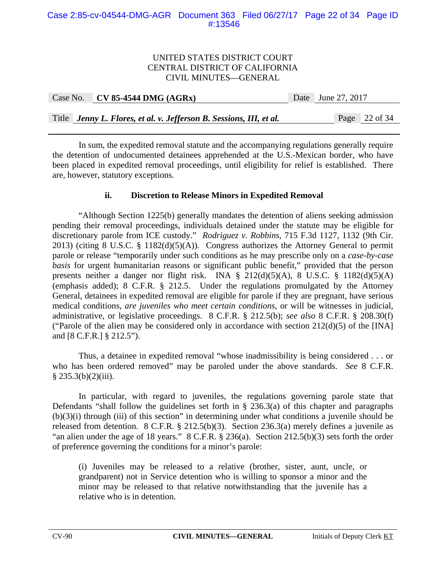#### Case 2:85-cv-04544-DMG-AGR Document 363 Filed 06/27/17 Page 22 of 34 Page ID #:13546

### UNITED STATES DISTRICT COURT CENTRAL DISTRICT OF CALIFORNIA CIVIL MINUTES—GENERAL

| Case No. | $CV 85-4544 DMG (AGRx)$                                             | Date June 27, 2017 |                 |
|----------|---------------------------------------------------------------------|--------------------|-----------------|
|          |                                                                     |                    |                 |
|          | Title Jenny L. Flores, et al. v. Jefferson B. Sessions, III, et al. |                    | Page $22$ of 34 |

In sum, the expedited removal statute and the accompanying regulations generally require the detention of undocumented detainees apprehended at the U.S.-Mexican border, who have been placed in expedited removal proceedings, until eligibility for relief is established. There are, however, statutory exceptions.

### **ii. Discretion to Release Minors in Expedited Removal**

"Although Section 1225(b) generally mandates the detention of aliens seeking admission pending their removal proceedings, individuals detained under the statute may be eligible for discretionary parole from ICE custody." *Rodriguez v. Robbins*, 715 F.3d 1127, 1132 (9th Cir. 2013) (citing 8 U.S.C. § 1182(d)(5)(A)). Congress authorizes the Attorney General to permit parole or release "temporarily under such conditions as he may prescribe only on a *case-by-case basis* for urgent humanitarian reasons or significant public benefit," provided that the person presents neither a danger nor flight risk. INA § 212(d)(5)(A), 8 U.S.C. § 1182(d)(5)(A) (emphasis added); 8 C.F.R. § 212.5. Under the regulations promulgated by the Attorney General, detainees in expedited removal are eligible for parole if they are pregnant, have serious medical conditions, *are juveniles who meet certain conditions*, or will be witnesses in judicial, administrative, or legislative proceedings. 8 C.F.R. § 212.5(b); *see also* 8 C.F.R. § 208.30(f) ("Parole of the alien may be considered only in accordance with section  $212(d)(5)$  of the [INA] and [8 C.F.R.] § 212.5").

Thus, a detainee in expedited removal "whose inadmissibility is being considered . . . or who has been ordered removed" may be paroled under the above standards. *See* 8 C.F.R.  $§$  235.3(b)(2)(iii).

In particular, with regard to juveniles, the regulations governing parole state that Defendants "shall follow the guidelines set forth in  $\S$  236.3(a) of this chapter and paragraphs (b)(3)(i) through (iii) of this section" in determining under what conditions a juvenile should be released from detention. 8 C.F.R. § 212.5(b)(3). Section 236.3(a) merely defines a juvenile as "an alien under the age of 18 years." 8 C.F.R. § 236(a). Section 212.5(b)(3) sets forth the order of preference governing the conditions for a minor's parole:

(i) Juveniles may be released to a relative (brother, sister, aunt, uncle, or grandparent) not in Service detention who is willing to sponsor a minor and the minor may be released to that relative notwithstanding that the juvenile has a relative who is in detention.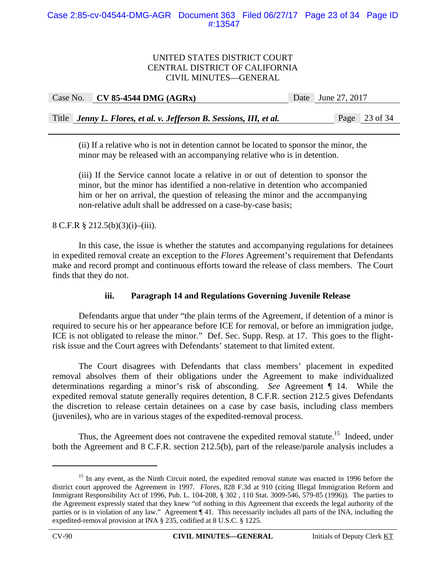| Case No. | $CV 85-4544 DMG (AGRx)$                                             | Date June 27, 2017 |
|----------|---------------------------------------------------------------------|--------------------|
|          |                                                                     |                    |
|          | Title Jenny L. Flores, et al. v. Jefferson B. Sessions, III, et al. | Page 23 of 34      |

(ii) If a relative who is not in detention cannot be located to sponsor the minor, the minor may be released with an accompanying relative who is in detention.

(iii) If the Service cannot locate a relative in or out of detention to sponsor the minor, but the minor has identified a non-relative in detention who accompanied him or her on arrival, the question of releasing the minor and the accompanying non-relative adult shall be addressed on a case-by-case basis;

## 8 C.F.R § 212.5(b)(3)(i)–(iii).

 In this case, the issue is whether the statutes and accompanying regulations for detainees in expedited removal create an exception to the *Flores* Agreement's requirement that Defendants make and record prompt and continuous efforts toward the release of class members. The Court finds that they do not.

## **iii. Paragraph 14 and Regulations Governing Juvenile Release**

Defendants argue that under "the plain terms of the Agreement, if detention of a minor is required to secure his or her appearance before ICE for removal, or before an immigration judge, ICE is not obligated to release the minor." Def. Sec. Supp. Resp. at 17. This goes to the flightrisk issue and the Court agrees with Defendants' statement to that limited extent.

The Court disagrees with Defendants that class members' placement in expedited removal absolves them of their obligations under the Agreement to make individualized determinations regarding a minor's risk of absconding. *See* Agreement ¶ 14. While the expedited removal statute generally requires detention, 8 C.F.R. section 212.5 gives Defendants the discretion to release certain detainees on a case by case basis, including class members (juveniles), who are in various stages of the expedited-removal process.

Thus, the Agreement does not contravene the expedited removal statute.<sup>15</sup> Indeed, under both the Agreement and 8 C.F.R. section 212.5(b), part of the release/parole analysis includes a

1

<sup>&</sup>lt;sup>15</sup> In any event, as the Ninth Circuit noted, the expedited removal statute was enacted in 1996 before the district court approved the Agreement in 1997. *Flores*, 828 F.3d at 910 (citing Illegal Immigration Reform and Immigrant Responsibility Act of 1996, Pub. L. 104-208, § 302 , 110 Stat. 3009-546, 579-85 (1996)). The parties to the Agreement expressly stated that they knew "of nothing in this Agreement that exceeds the legal authority of the parties or is in violation of any law." Agreement ¶ 41. This necessarily includes all parts of the INA, including the expedited-removal provision at INA § 235, codified at 8 U.S.C. § 1225.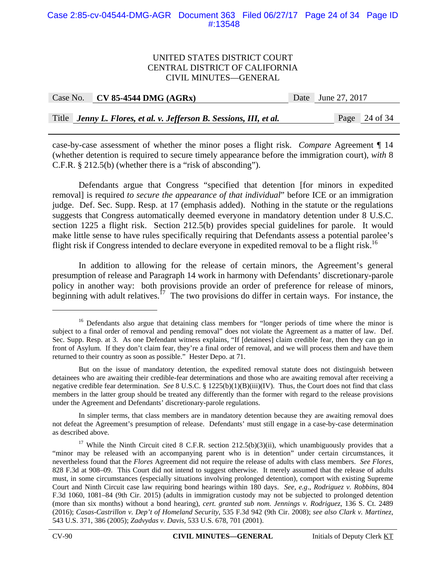#### Case 2:85-cv-04544-DMG-AGR Document 363 Filed 06/27/17 Page 24 of 34 Page ID #:13548

#### UNITED STATES DISTRICT COURT CENTRAL DISTRICT OF CALIFORNIA CIVIL MINUTES—GENERAL

| Case No. $\vert$ CV 85-4544 DMG (AGRx)                              | Date June 27, 2017 |               |
|---------------------------------------------------------------------|--------------------|---------------|
|                                                                     |                    |               |
| Title Jenny L. Flores, et al. v. Jefferson B. Sessions, III, et al. |                    | Page 24 of 34 |

case-by-case assessment of whether the minor poses a flight risk. *Compare* Agreement ¶ 14 (whether detention is required to secure timely appearance before the immigration court), *with* 8 C.F.R. § 212.5(b) (whether there is a "risk of absconding").

Defendants argue that Congress "specified that detention [for minors in expedited removal] is required *to secure the appearance of that individual*" before ICE or an immigration judge. Def. Sec. Supp. Resp. at 17 (emphasis added). Nothing in the statute or the regulations suggests that Congress automatically deemed everyone in mandatory detention under 8 U.S.C. section 1225 a flight risk. Section 212.5(b) provides special guidelines for parole. It would make little sense to have rules specifically requiring that Defendants assess a potential parolee's flight risk if Congress intended to declare everyone in expedited removal to be a flight risk.<sup>16</sup>

In addition to allowing for the release of certain minors, the Agreement's general presumption of release and Paragraph 14 work in harmony with Defendants' discretionary-parole policy in another way: both provisions provide an order of preference for release of minors, beginning with adult relatives.<sup>17</sup> The two provisions do differ in certain ways. For instance, the

<sup>&</sup>lt;sup>16</sup> Defendants also argue that detaining class members for "longer periods of time where the minor is subject to a final order of removal and pending removal" does not violate the Agreement as a matter of law. Def. Sec. Supp. Resp. at 3. As one Defendant witness explains, "If [detainees] claim credible fear, then they can go in front of Asylum. If they don't claim fear, they're a final order of removal, and we will process them and have them returned to their country as soon as possible." Hester Depo. at 71.

But on the issue of mandatory detention, the expedited removal statute does not distinguish between detainees who are awaiting their credible-fear determinations and those who are awaiting removal after receiving a negative credible fear determination. *See* 8 U.S.C. § 1225(b)(1)(B)(iii)(IV). Thus, the Court does not find that class members in the latter group should be treated any differently than the former with regard to the release provisions under the Agreement and Defendants' discretionary-parole regulations.

In simpler terms, that class members are in mandatory detention because they are awaiting removal does not defeat the Agreement's presumption of release. Defendants' must still engage in a case-by-case determination as described above.

<sup>&</sup>lt;sup>17</sup> While the Ninth Circuit cited 8 C.F.R. section 212.5(b)(3)(ii), which unambiguously provides that a "minor may be released with an accompanying parent who is in detention" under certain circumstances, it nevertheless found that the *Flores* Agreement did not require the release of adults with class members. *See Flores*, 828 F.3d at 908–09. This Court did not intend to suggest otherwise. It merely assumed that the release of adults must, in some circumstances (especially situations involving prolonged detention), comport with existing Supreme Court and Ninth Circuit case law requiring bond hearings within 180 days. *See, e.g*., *Rodriguez v. Robbins*, 804 F.3d 1060, 1081–84 (9th Cir. 2015) (adults in immigration custody may not be subjected to prolonged detention (more than six months) without a bond hearing), *cert. granted sub nom. Jennings v. Rodriguez*, 136 S. Ct. 2489 (2016); *Casas-Castrillon v. Dep't of Homeland Security*, 535 F.3d 942 (9th Cir. 2008); *see also Clark v. Martinez*, 543 U.S. 371, 386 (2005); *Zadvydas v. Davis*, 533 U.S. 678, 701 (2001).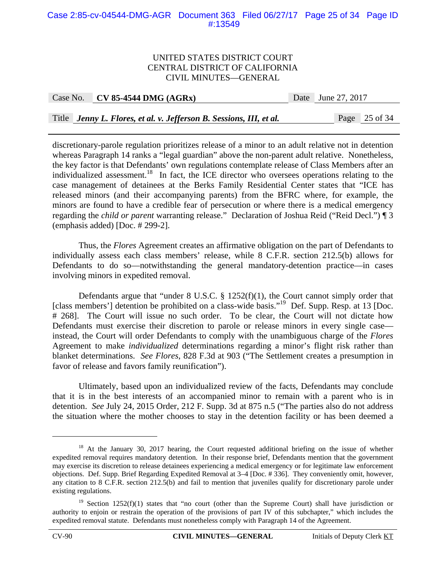#### Case 2:85-cv-04544-DMG-AGR Document 363 Filed 06/27/17 Page 25 of 34 Page ID #:13549

#### UNITED STATES DISTRICT COURT CENTRAL DISTRICT OF CALIFORNIA CIVIL MINUTES—GENERAL

|  | Case No. | <b>CV 85-4544 DMG (AGRx</b> |  |
|--|----------|-----------------------------|--|
|--|----------|-----------------------------|--|

Date June 27, 2017

Title *Jenny L. Flores, et al. v. Jefferson B. Sessions, III, et al.* Page 25 of 34

discretionary-parole regulation prioritizes release of a minor to an adult relative not in detention whereas Paragraph 14 ranks a "legal guardian" above the non-parent adult relative. Nonetheless, the key factor is that Defendants' own regulations contemplate release of Class Members after an individualized assessment.<sup>18</sup> In fact, the ICE director who oversees operations relating to the case management of detainees at the Berks Family Residential Center states that "ICE has released minors (and their accompanying parents) from the BFRC where, for example, the minors are found to have a credible fear of persecution or where there is a medical emergency regarding the *child or parent* warranting release." Declaration of Joshua Reid ("Reid Decl.") ¶ 3 (emphasis added) [Doc. # 299-2].

 Thus, the *Flores* Agreement creates an affirmative obligation on the part of Defendants to individually assess each class members' release, while 8 C.F.R. section 212.5(b) allows for Defendants to do so—notwithstanding the general mandatory-detention practice—in cases involving minors in expedited removal.

Defendants argue that "under 8 U.S.C. § 1252(f)(1), the Court cannot simply order that [class members'] detention be prohibited on a class-wide basis."19 Def. Supp. Resp. at 13 [Doc. # 268]. The Court will issue no such order. To be clear, the Court will not dictate how Defendants must exercise their discretion to parole or release minors in every single case instead, the Court will order Defendants to comply with the unambiguous charge of the *Flores* Agreement to make *individualized* determinations regarding a minor's flight risk rather than blanket determinations. *See Flores*, 828 F.3d at 903 ("The Settlement creates a presumption in favor of release and favors family reunification").

Ultimately, based upon an individualized review of the facts, Defendants may conclude that it is in the best interests of an accompanied minor to remain with a parent who is in detention. *See* July 24, 2015 Order, 212 F. Supp. 3d at 875 n.5 ("The parties also do not address the situation where the mother chooses to stay in the detention facility or has been deemed a

<sup>&</sup>lt;sup>18</sup> At the January 30, 2017 hearing, the Court requested additional briefing on the issue of whether expedited removal requires mandatory detention. In their response brief, Defendants mention that the government may exercise its discretion to release detainees experiencing a medical emergency or for legitimate law enforcement objections. Def. Supp. Brief Regarding Expedited Removal at 3–4 [Doc. # 336]. They conveniently omit, however, any citation to 8 C.F.R. section 212.5(b) and fail to mention that juveniles qualify for discretionary parole under existing regulations.

<sup>&</sup>lt;sup>19</sup> Section 1252(f)(1) states that "no court (other than the Supreme Court) shall have jurisdiction or authority to enjoin or restrain the operation of the provisions of part IV of this subchapter," which includes the expedited removal statute. Defendants must nonetheless comply with Paragraph 14 of the Agreement.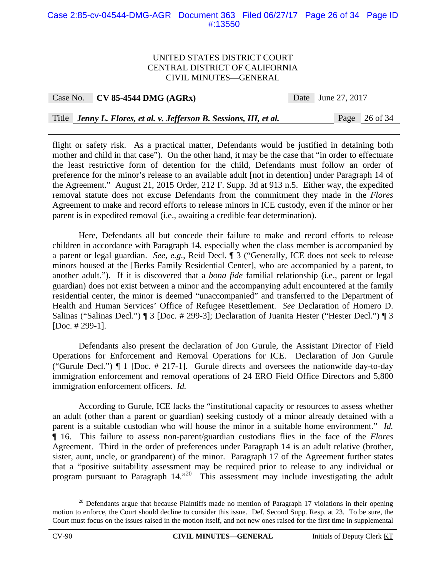#### Case 2:85-cv-04544-DMG-AGR Document 363 Filed 06/27/17 Page 26 of 34 Page ID #:13550

#### UNITED STATES DISTRICT COURT CENTRAL DISTRICT OF CALIFORNIA CIVIL MINUTES—GENERAL

#### Case No. **CV 85-4544 DMG (AGRx)** Date June 27, 2017

#### Title *Jenny L. Flores, et al. v. Jefferson B. Sessions, III, et al.* Page 26 of 34

flight or safety risk. As a practical matter, Defendants would be justified in detaining both mother and child in that case"). On the other hand, it may be the case that "in order to effectuate the least restrictive form of detention for the child, Defendants must follow an order of preference for the minor's release to an available adult [not in detention] under Paragraph 14 of the Agreement." August 21, 2015 Order, 212 F. Supp. 3d at 913 n.5. Either way, the expedited removal statute does not excuse Defendants from the commitment they made in the *Flores* Agreement to make and record efforts to release minors in ICE custody, even if the minor or her parent is in expedited removal (i.e., awaiting a credible fear determination).

Here, Defendants all but concede their failure to make and record efforts to release children in accordance with Paragraph 14, especially when the class member is accompanied by a parent or legal guardian. *See, e.g.*, Reid Decl. ¶ 3 ("Generally, ICE does not seek to release minors housed at the [Berks Family Residential Center], who are accompanied by a parent, to another adult."). If it is discovered that a *bona fide* familial relationship (i.e., parent or legal guardian) does not exist between a minor and the accompanying adult encountered at the family residential center, the minor is deemed "unaccompanied" and transferred to the Department of Health and Human Services' Office of Refugee Resettlement. *See* Declaration of Homero D. Salinas ("Salinas Decl.") ¶ 3 [Doc. # 299-3]; Declaration of Juanita Hester ("Hester Decl.") ¶ 3 [Doc. # 299-1].

Defendants also present the declaration of Jon Gurule, the Assistant Director of Field Operations for Enforcement and Removal Operations for ICE. Declaration of Jon Gurule ("Gurule Decl.") ¶ 1 [Doc. # 217-1]. Gurule directs and oversees the nationwide day-to-day immigration enforcement and removal operations of 24 ERO Field Office Directors and 5,800 immigration enforcement officers. *Id.*

According to Gurule, ICE lacks the "institutional capacity or resources to assess whether an adult (other than a parent or guardian) seeking custody of a minor already detained with a parent is a suitable custodian who will house the minor in a suitable home environment." *Id.* ¶ 16. This failure to assess non-parent/guardian custodians flies in the face of the *Flores* Agreement. Third in the order of preferences under Paragraph 14 is an adult relative (brother, sister, aunt, uncle, or grandparent) of the minor. Paragraph 17 of the Agreement further states that a "positive suitability assessment may be required prior to release to any individual or program pursuant to Paragraph 14.<sup>"20</sup> This assessment may include investigating the adult

 $20$  Defendants argue that because Plaintiffs made no mention of Paragraph 17 violations in their opening motion to enforce, the Court should decline to consider this issue. Def. Second Supp. Resp. at 23. To be sure, the Court must focus on the issues raised in the motion itself, and not new ones raised for the first time in supplemental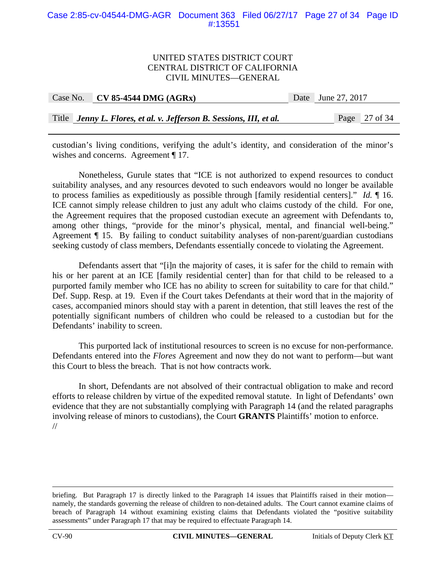#### Case 2:85-cv-04544-DMG-AGR Document 363 Filed 06/27/17 Page 27 of 34 Page ID #:13551

#### UNITED STATES DISTRICT COURT CENTRAL DISTRICT OF CALIFORNIA CIVIL MINUTES—GENERAL

| Case No. | $CV 85-4544 DMG (AGRx)$                                             | Date June 27, 2017 |  |
|----------|---------------------------------------------------------------------|--------------------|--|
|          |                                                                     |                    |  |
|          | Title Jenny L. Flores, et al. v. Jefferson B. Sessions, III, et al. | Page 27 of 34      |  |

custodian's living conditions, verifying the adult's identity, and consideration of the minor's wishes and concerns. Agreement ¶ 17.

Nonetheless, Gurule states that "ICE is not authorized to expend resources to conduct suitability analyses, and any resources devoted to such endeavors would no longer be available to process families as expeditiously as possible through [family residential centers]." *Id.* ¶ 16. ICE cannot simply release children to just any adult who claims custody of the child. For one, the Agreement requires that the proposed custodian execute an agreement with Defendants to, among other things, "provide for the minor's physical, mental, and financial well-being." Agreement ¶ 15. By failing to conduct suitability analyses of non-parent/guardian custodians seeking custody of class members, Defendants essentially concede to violating the Agreement.

 Defendants assert that "[i]n the majority of cases, it is safer for the child to remain with his or her parent at an ICE [family residential center] than for that child to be released to a purported family member who ICE has no ability to screen for suitability to care for that child." Def. Supp. Resp. at 19. Even if the Court takes Defendants at their word that in the majority of cases, accompanied minors should stay with a parent in detention, that still leaves the rest of the potentially significant numbers of children who could be released to a custodian but for the Defendants' inability to screen.

 This purported lack of institutional resources to screen is no excuse for non-performance. Defendants entered into the *Flores* Agreement and now they do not want to perform—but want this Court to bless the breach. That is not how contracts work.

In short, Defendants are not absolved of their contractual obligation to make and record efforts to release children by virtue of the expedited removal statute. In light of Defendants' own evidence that they are not substantially complying with Paragraph 14 (and the related paragraphs involving release of minors to custodians), the Court **GRANTS** Plaintiffs' motion to enforce. //

briefing. But Paragraph 17 is directly linked to the Paragraph 14 issues that Plaintiffs raised in their motion namely, the standards governing the release of children to non-detained adults. The Court cannot examine claims of breach of Paragraph 14 without examining existing claims that Defendants violated the "positive suitability assessments" under Paragraph 17 that may be required to effectuate Paragraph 14.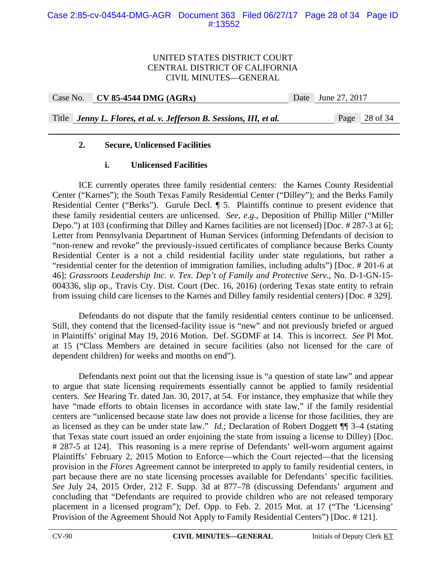Case No. **CV 85-4544 DMG (AGRx)** Date June 27, 2017

Title *Jenny L. Flores, et al. v. Jefferson B. Sessions, III, et al.* Page 28 of 34

# **2. Secure, Unlicensed Facilities**

## **i. Unlicensed Facilities**

 ICE currently operates three family residential centers: the Karnes County Residential Center ("Karnes"); the South Texas Family Residential Center ("Dilley"); and the Berks Family Residential Center ("Berks"). Gurule Decl. ¶ 5. Plaintiffs continue to present evidence that these family residential centers are unlicensed. *See, e.g.*, Deposition of Phillip Miller ("Miller Depo.") at 103 (confirming that Dilley and Karnes facilities are not licensed) [Doc. # 287-3 at 6]; Letter from Pennsylvania Department of Human Services (informing Defendants of decision to "non-renew and revoke" the previously-issued certificates of compliance because Berks County Residential Center is a not a child residential facility under state regulations, but rather a "residential center for the detention of immigration families, including adults") [Doc. # 201-6 at 46]; *Grassroots Leadership Inc. v. Tex. Dep't of Family and Protective Serv*., No. D-1-GN-15- 004336, slip op., Travis Cty. Dist. Court (Dec. 16, 2016) (ordering Texas state entity to refrain from issuing child care licenses to the Karnes and Dilley family residential centers) [Doc. # 329].

 Defendants do not dispute that the family residential centers continue to be unlicensed. Still, they contend that the licensed-facility issue is "new" and not previously briefed or argued in Plaintiffs' original May 19, 2016 Motion. Def. SGDMF at 14. This is incorrect. *See* Pl Mot. at 15 ("Class Members are detained in secure facilities (also not licensed for the care of dependent children) for weeks and months on end").

Defendants next point out that the licensing issue is "a question of state law" and appear to argue that state licensing requirements essentially cannot be applied to family residential centers. *See* Hearing Tr. dated Jan. 30, 2017, at 54. For instance, they emphasize that while they have "made efforts to obtain licenses in accordance with state law," if the family residential centers are "unlicensed because state law does not provide a license for those facilities, they are as licensed as they can be under state law." *Id.*; Declaration of Robert Doggett ¶¶ 3–4 (stating that Texas state court issued an order enjoining the state from issuing a license to Dilley) [Doc. # 287-5 at 124]. This reasoning is a mere reprise of Defendants' well-worn argument against Plaintiffs' February 2, 2015 Motion to Enforce—which the Court rejected—that the licensing provision in the *Flores* Agreement cannot be interpreted to apply to family residential centers, in part because there are no state licensing processes available for Defendants' specific facilities. *See* July 24, 2015 Order, 212 F. Supp. 3d at 877–78 (discussing Defendants' argument and concluding that "Defendants are required to provide children who are not released temporary placement in a licensed program"); Def. Opp. to Feb. 2. 2015 Mot. at 17 ("The 'Licensing' Provision of the Agreement Should Not Apply to Family Residential Centers") [Doc. # 121].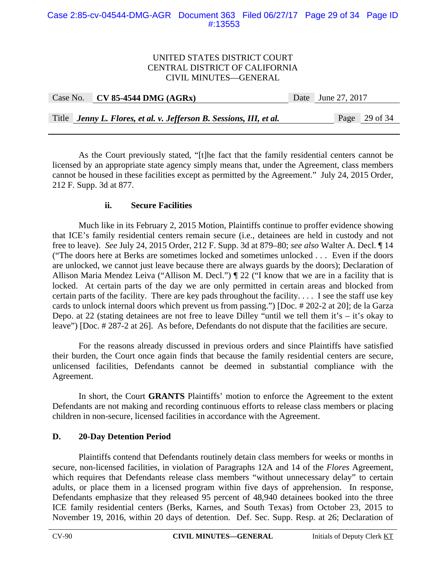| Case No. | $\sim$ CV 85-4544 DMG (AGRx)                                        | Date June 27, 2017 |  |
|----------|---------------------------------------------------------------------|--------------------|--|
|          |                                                                     |                    |  |
|          | Title Jenny L. Flores, et al. v. Jefferson B. Sessions, III, et al. | Page $29$ of 34    |  |

 As the Court previously stated, "[t]he fact that the family residential centers cannot be licensed by an appropriate state agency simply means that, under the Agreement, class members cannot be housed in these facilities except as permitted by the Agreement." July 24, 2015 Order, 212 F. Supp. 3d at 877.

### **ii. Secure Facilities**

 Much like in its February 2, 2015 Motion, Plaintiffs continue to proffer evidence showing that ICE's family residential centers remain secure (i.e., detainees are held in custody and not free to leave). *See* July 24, 2015 Order, 212 F. Supp. 3d at 879–80; *see also* Walter A. Decl. ¶ 14 ("The doors here at Berks are sometimes locked and sometimes unlocked . . . Even if the doors are unlocked, we cannot just leave because there are always guards by the doors); Declaration of Allison Maria Mendez Leiva ("Allison M. Decl.") ¶ 22 ("I know that we are in a facility that is locked. At certain parts of the day we are only permitted in certain areas and blocked from certain parts of the facility. There are key pads throughout the facility. . . . I see the staff use key cards to unlock internal doors which prevent us from passing.") [Doc. # 202-2 at 20]; de la Garza Depo. at 22 (stating detainees are not free to leave Dilley "until we tell them it's – it's okay to leave") [Doc. # 287-2 at 26]. As before, Defendants do not dispute that the facilities are secure.

 For the reasons already discussed in previous orders and since Plaintiffs have satisfied their burden, the Court once again finds that because the family residential centers are secure, unlicensed facilities, Defendants cannot be deemed in substantial compliance with the Agreement.

 In short, the Court **GRANTS** Plaintiffs' motion to enforce the Agreement to the extent Defendants are not making and recording continuous efforts to release class members or placing children in non-secure, licensed facilities in accordance with the Agreement.

## **D. 20-Day Detention Period**

 Plaintiffs contend that Defendants routinely detain class members for weeks or months in secure, non-licensed facilities, in violation of Paragraphs 12A and 14 of the *Flores* Agreement, which requires that Defendants release class members "without unnecessary delay" to certain adults, or place them in a licensed program within five days of apprehension. In response, Defendants emphasize that they released 95 percent of 48,940 detainees booked into the three ICE family residential centers (Berks, Karnes, and South Texas) from October 23, 2015 to November 19, 2016, within 20 days of detention. Def. Sec. Supp. Resp. at 26; Declaration of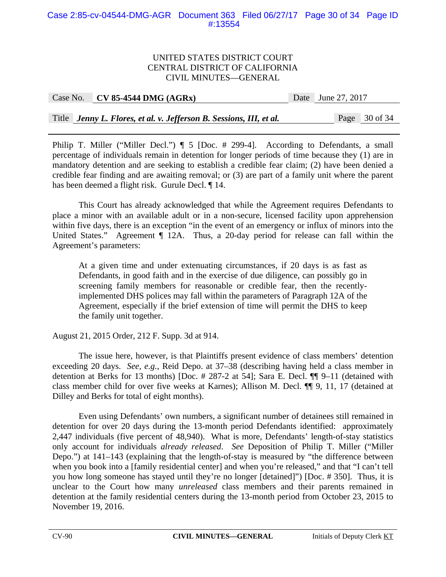### Case 2:85-cv-04544-DMG-AGR Document 363 Filed 06/27/17 Page 30 of 34 Page ID #:13554

#### UNITED STATES DISTRICT COURT CENTRAL DISTRICT OF CALIFORNIA CIVIL MINUTES—GENERAL

| Case No. CV 85-4544 DMG $(AGRx)$ | Date June 27, 2017 |
|----------------------------------|--------------------|
|                                  |                    |

Title *Jenny L. Flores, et al. v. Jefferson B. Sessions, III, et al.* Page 30 of 34

Philip T. Miller ("Miller Decl.")  $\P$  5 [Doc. # 299-4]. According to Defendants, a small percentage of individuals remain in detention for longer periods of time because they (1) are in mandatory detention and are seeking to establish a credible fear claim; (2) have been denied a credible fear finding and are awaiting removal; or (3) are part of a family unit where the parent has been deemed a flight risk. Gurule Decl. ¶ 14.

This Court has already acknowledged that while the Agreement requires Defendants to place a minor with an available adult or in a non-secure, licensed facility upon apprehension within five days, there is an exception "in the event of an emergency or influx of minors into the United States." Agreement  $\P$  12A. Thus, a 20-day period for release can fall within the Agreement's parameters:

At a given time and under extenuating circumstances, if 20 days is as fast as Defendants, in good faith and in the exercise of due diligence, can possibly go in screening family members for reasonable or credible fear, then the recentlyimplemented DHS polices may fall within the parameters of Paragraph 12A of the Agreement, especially if the brief extension of time will permit the DHS to keep the family unit together.

August 21, 2015 Order, 212 F. Supp. 3d at 914.

 The issue here, however, is that Plaintiffs present evidence of class members' detention exceeding 20 days. *See, e.g.*, Reid Depo. at 37–38 (describing having held a class member in detention at Berks for 13 months) [Doc. # 287-2 at 54]; Sara E. Decl. ¶¶ 9–11 (detained with class member child for over five weeks at Karnes); Allison M. Decl. ¶¶ 9, 11, 17 (detained at Dilley and Berks for total of eight months).

Even using Defendants' own numbers, a significant number of detainees still remained in detention for over 20 days during the 13-month period Defendants identified: approximately 2,447 individuals (five percent of 48,940). What is more, Defendants' length-of-stay statistics only account for individuals *already released*. *See* Deposition of Philip T. Miller ("Miller Depo.") at 141–143 (explaining that the length-of-stay is measured by "the difference between when you book into a [family residential center] and when you're released," and that "I can't tell you how long someone has stayed until they're no longer [detained]") [Doc. # 350]. Thus, it is unclear to the Court how many *unreleased* class members and their parents remained in detention at the family residential centers during the 13-month period from October 23, 2015 to November 19, 2016.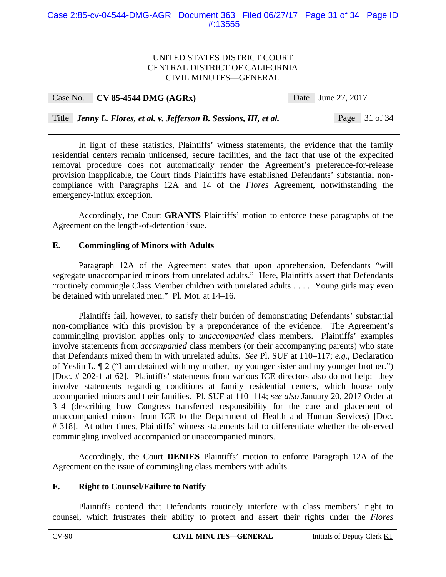#### Case 2:85-cv-04544-DMG-AGR Document 363 Filed 06/27/17 Page 31 of 34 Page ID #:13555

#### UNITED STATES DISTRICT COURT CENTRAL DISTRICT OF CALIFORNIA CIVIL MINUTES—GENERAL

| Case No. | $CV 85-4544 DMG (AGRx)$                                             | Date June 27, 2017 |
|----------|---------------------------------------------------------------------|--------------------|
|          |                                                                     |                    |
|          | Title Jenny L. Flores, et al. v. Jefferson B. Sessions, III, et al. | Page 31 of 34      |

 In light of these statistics, Plaintiffs' witness statements, the evidence that the family residential centers remain unlicensed, secure facilities, and the fact that use of the expedited removal procedure does not automatically render the Agreement's preference-for-release provision inapplicable, the Court finds Plaintiffs have established Defendants' substantial noncompliance with Paragraphs 12A and 14 of the *Flores* Agreement, notwithstanding the emergency-influx exception.

Accordingly, the Court **GRANTS** Plaintiffs' motion to enforce these paragraphs of the Agreement on the length-of-detention issue.

### **E. Commingling of Minors with Adults**

 Paragraph 12A of the Agreement states that upon apprehension, Defendants "will segregate unaccompanied minors from unrelated adults." Here, Plaintiffs assert that Defendants "routinely commingle Class Member children with unrelated adults . . . . Young girls may even be detained with unrelated men." Pl. Mot. at 14–16.

 Plaintiffs fail, however, to satisfy their burden of demonstrating Defendants' substantial non-compliance with this provision by a preponderance of the evidence. The Agreement's commingling provision applies only to *unaccompanied* class members. Plaintiffs' examples involve statements from *accompanied* class members (or their accompanying parents) who state that Defendants mixed them in with unrelated adults. *See* Pl. SUF at 110–117; *e.g.*, Declaration of Yeslin L. ¶ 2 ("I am detained with my mother, my younger sister and my younger brother.") [Doc. # 202-1 at 62]. Plaintiffs' statements from various ICE directors also do not help: they involve statements regarding conditions at family residential centers, which house only accompanied minors and their families. Pl. SUF at 110–114; *see also* January 20, 2017 Order at 3–4 (describing how Congress transferred responsibility for the care and placement of unaccompanied minors from ICE to the Department of Health and Human Services) [Doc. # 318]. At other times, Plaintiffs' witness statements fail to differentiate whether the observed commingling involved accompanied or unaccompanied minors.

 Accordingly, the Court **DENIES** Plaintiffs' motion to enforce Paragraph 12A of the Agreement on the issue of commingling class members with adults.

## **F. Right to Counsel/Failure to Notify**

 Plaintiffs contend that Defendants routinely interfere with class members' right to counsel, which frustrates their ability to protect and assert their rights under the *Flores*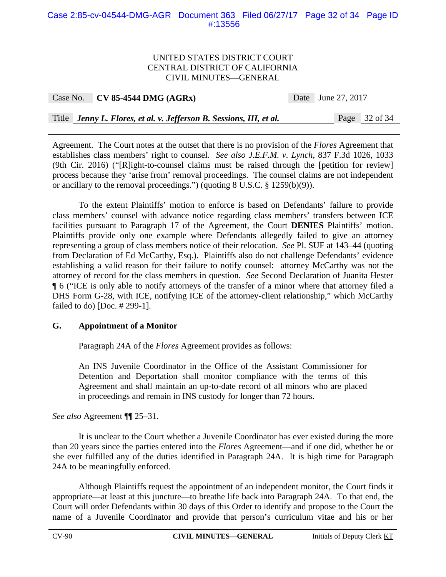### Case 2:85-cv-04544-DMG-AGR Document 363 Filed 06/27/17 Page 32 of 34 Page ID #:13556

#### UNITED STATES DISTRICT COURT CENTRAL DISTRICT OF CALIFORNIA CIVIL MINUTES—GENERAL

| Case No. CV 85-4544 DMG $(AGRx)$ | Date June 27, 2017 |  |
|----------------------------------|--------------------|--|
|                                  |                    |  |

Title *Jenny L. Flores, et al. v. Jefferson B. Sessions, III, et al.* Page 32 of 34

Agreement. The Court notes at the outset that there is no provision of the *Flores* Agreement that establishes class members' right to counsel. *See also J.E.F.M. v. Lynch*, 837 F.3d 1026, 1033 (9th Cir. 2016) ("[R]ight-to-counsel claims must be raised through the [petition for review] process because they 'arise from' removal proceedings. The counsel claims are not independent or ancillary to the removal proceedings.") (quoting 8 U.S.C. § 1259(b)(9)).

 To the extent Plaintiffs' motion to enforce is based on Defendants' failure to provide class members' counsel with advance notice regarding class members' transfers between ICE facilities pursuant to Paragraph 17 of the Agreement, the Court **DENIES** Plaintiffs' motion. Plaintiffs provide only one example where Defendants allegedly failed to give an attorney representing a group of class members notice of their relocation. *See* Pl. SUF at 143–44 (quoting from Declaration of Ed McCarthy, Esq.). Plaintiffs also do not challenge Defendants' evidence establishing a valid reason for their failure to notify counsel: attorney McCarthy was not the attorney of record for the class members in question. *See* Second Declaration of Juanita Hester ¶ 6 ("ICE is only able to notify attorneys of the transfer of a minor where that attorney filed a DHS Form G-28, with ICE, notifying ICE of the attorney-client relationship," which McCarthy failed to do) [Doc. # 299-1].

## **G. Appointment of a Monitor**

Paragraph 24A of the *Flores* Agreement provides as follows:

An INS Juvenile Coordinator in the Office of the Assistant Commissioner for Detention and Deportation shall monitor compliance with the terms of this Agreement and shall maintain an up-to-date record of all minors who are placed in proceedings and remain in INS custody for longer than 72 hours.

*See also* Agreement ¶¶ 25–31.

 It is unclear to the Court whether a Juvenile Coordinator has ever existed during the more than 20 years since the parties entered into the *Flores* Agreement—and if one did, whether he or she ever fulfilled any of the duties identified in Paragraph 24A. It is high time for Paragraph 24A to be meaningfully enforced.

 Although Plaintiffs request the appointment of an independent monitor, the Court finds it appropriate—at least at this juncture—to breathe life back into Paragraph 24A. To that end, the Court will order Defendants within 30 days of this Order to identify and propose to the Court the name of a Juvenile Coordinator and provide that person's curriculum vitae and his or her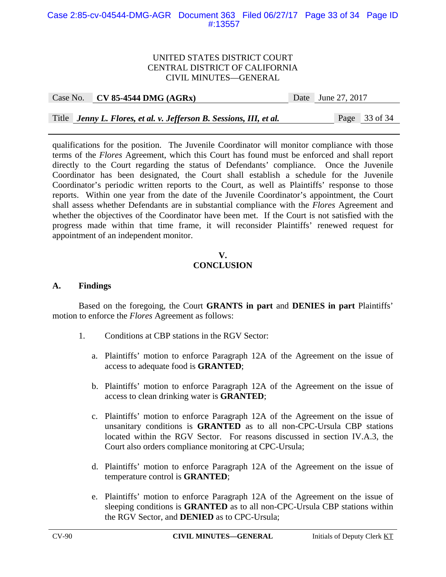### Case 2:85-cv-04544-DMG-AGR Document 363 Filed 06/27/17 Page 33 of 34 Page ID #:13557

### UNITED STATES DISTRICT COURT CENTRAL DISTRICT OF CALIFORNIA CIVIL MINUTES—GENERAL

#### Case No. **CV 85-4544 DMG (AGRx)** Date June 27, 2017

Title *Jenny L. Flores, et al. v. Jefferson B. Sessions, III, et al.* Page 33 of 34

qualifications for the position. The Juvenile Coordinator will monitor compliance with those terms of the *Flores* Agreement, which this Court has found must be enforced and shall report directly to the Court regarding the status of Defendants' compliance. Once the Juvenile Coordinator has been designated, the Court shall establish a schedule for the Juvenile Coordinator's periodic written reports to the Court, as well as Plaintiffs' response to those reports. Within one year from the date of the Juvenile Coordinator's appointment, the Court shall assess whether Defendants are in substantial compliance with the *Flores* Agreement and whether the objectives of the Coordinator have been met. If the Court is not satisfied with the progress made within that time frame, it will reconsider Plaintiffs' renewed request for appointment of an independent monitor.

### **V. CONCLUSION**

#### **A. Findings**

 Based on the foregoing, the Court **GRANTS in part** and **DENIES in part** Plaintiffs' motion to enforce the *Flores* Agreement as follows:

- 1. Conditions at CBP stations in the RGV Sector:
	- a. Plaintiffs' motion to enforce Paragraph 12A of the Agreement on the issue of access to adequate food is **GRANTED**;
	- b. Plaintiffs' motion to enforce Paragraph 12A of the Agreement on the issue of access to clean drinking water is **GRANTED**;
	- c. Plaintiffs' motion to enforce Paragraph 12A of the Agreement on the issue of unsanitary conditions is **GRANTED** as to all non-CPC-Ursula CBP stations located within the RGV Sector. For reasons discussed in section IV.A.3, the Court also orders compliance monitoring at CPC-Ursula;
	- d. Plaintiffs' motion to enforce Paragraph 12A of the Agreement on the issue of temperature control is **GRANTED**;
	- e. Plaintiffs' motion to enforce Paragraph 12A of the Agreement on the issue of sleeping conditions is **GRANTED** as to all non-CPC-Ursula CBP stations within the RGV Sector, and **DENIED** as to CPC-Ursula;